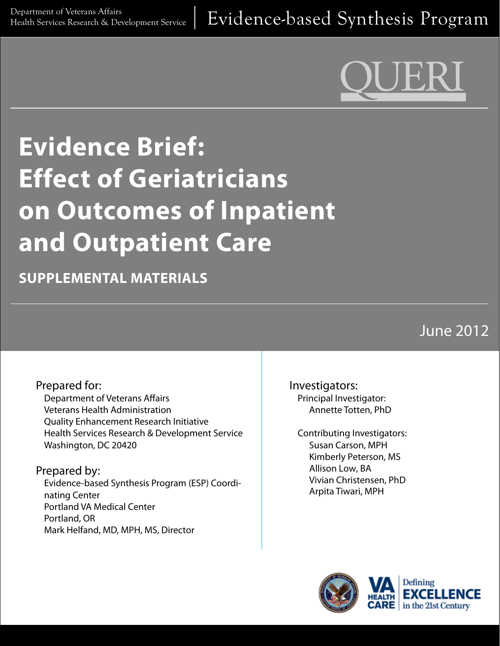# **Evidence Brief: Effect of Geriatricians on Outcomes of Inpatient and Outpatient Care**

**SUPPLEMENTAL MATERIALS**

June 2012

#### Prepared for:

Department of Veterans Affairs Veterans Health Administration Quality Enhancement Research Initiative Health Services Research & Development Service Washington, DC 20420

#### Prepared by:

Evidence-based Synthesis Program (ESP) Coordinating Center Portland VA Medical Center Portland, OR Mark Helfand, MD, MPH, MS, Director

Investigators: Principal Investigator: Annette Totten, PhD

Contributing Investigators: Susan Carson, MPH Kimberly Peterson, MS Allison Low, BA Vivian Christensen, PhD Arpita Tiwari, MPH

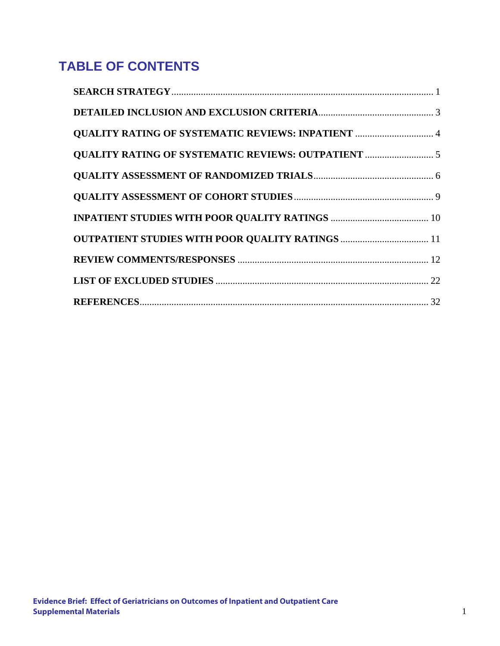# **TABLE OF CONTENTS**

| <b>QUALITY RATING OF SYSTEMATIC REVIEWS: INPATIENT  4</b> |  |
|-----------------------------------------------------------|--|
|                                                           |  |
|                                                           |  |
|                                                           |  |
|                                                           |  |
| <b>OUTPATIENT STUDIES WITH POOR QUALITY RATINGS </b> 11   |  |
|                                                           |  |
|                                                           |  |
|                                                           |  |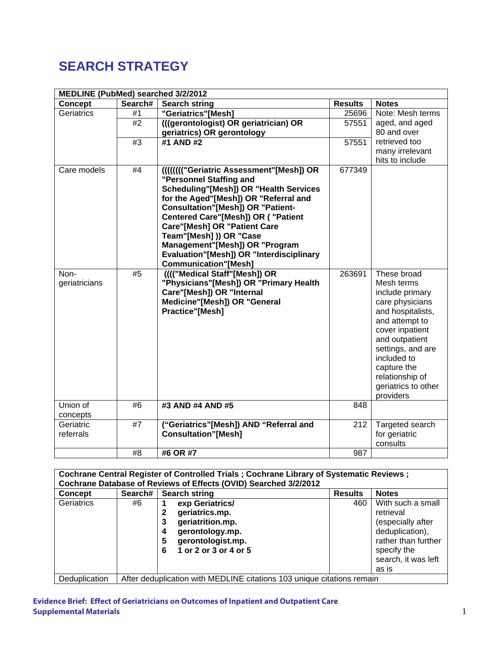# **SEARCH STRATEGY**

| MEDLINE (PubMed) searched 3/2/2012 |         |                                                  |                |                                  |
|------------------------------------|---------|--------------------------------------------------|----------------|----------------------------------|
| <b>Concept</b>                     | Search# | <b>Search string</b>                             | <b>Results</b> | <b>Notes</b>                     |
| Geriatrics                         | #1      | "Geriatrics"[Mesh]                               | 25696          | Note: Mesh terms                 |
|                                    | #2      | (((gerontologist) OR geriatrician) OR            | 57551          | aged, and aged                   |
|                                    |         | geriatrics) OR gerontology                       |                | 80 and over                      |
|                                    | #3      | #1 AND #2                                        | 57551          | retrieved too                    |
|                                    |         |                                                  |                | many irrelevant                  |
|                                    |         |                                                  |                | hits to include                  |
| Care models                        | #4      | <b>IIIIIIII''Geriatric Assessment"[Mesh]) OR</b> | 677349         |                                  |
|                                    |         | "Personnel Staffing and                          |                |                                  |
|                                    |         | <b>Scheduling"[Mesh]) OR "Health Services</b>    |                |                                  |
|                                    |         | for the Aged"[Mesh]) OR "Referral and            |                |                                  |
|                                    |         | <b>Consultation"[Mesh]) OR "Patient-</b>         |                |                                  |
|                                    |         | <b>Centered Care"[Mesh]) OR ( "Patient</b>       |                |                                  |
|                                    |         | <b>Care"[Mesh] OR "Patient Care</b>              |                |                                  |
|                                    |         | Team"[Mesh] )) OR "Case                          |                |                                  |
|                                    |         | Management"[Mesh]) OR "Program                   |                |                                  |
|                                    |         | Evaluation"[Mesh]) OR "Interdisciplinary         |                |                                  |
|                                    |         | <b>Communication"[Mesh]</b>                      |                |                                  |
| Non-                               | #5      | ((("Medical Staff"[Mesh]) OR                     | 263691         | These broad                      |
| geriatricians                      |         | "Physicians"[Mesh]) OR "Primary Health           |                | Mesh terms                       |
|                                    |         | Care"[Mesh]) OR "Internal                        |                | include primary                  |
|                                    |         | Medicine"[Mesh]) OR "General                     |                | care physicians                  |
|                                    |         | <b>Practice"[Mesh]</b>                           |                | and hospitalists,                |
|                                    |         |                                                  |                | and attempt to                   |
|                                    |         |                                                  |                | cover inpatient                  |
|                                    |         |                                                  |                | and outpatient                   |
|                                    |         |                                                  |                | settings, and are                |
|                                    |         |                                                  |                | included to                      |
|                                    |         |                                                  |                | capture the                      |
|                                    |         |                                                  |                | relationship of                  |
|                                    |         |                                                  |                | geriatrics to other              |
| Union of                           | #6      | #3 AND #4 AND #5                                 | 848            | providers                        |
|                                    |         |                                                  |                |                                  |
| concepts<br>Geriatric              | #7      | ("Geriatrics"[Mesh]) AND "Referral and           | 212            |                                  |
| referrals                          |         | <b>Consultation"[Mesh]</b>                       |                | Targeted search<br>for geriatric |
|                                    |         |                                                  |                |                                  |
|                                    |         |                                                  |                | consults                         |
|                                    | #8      | #6 OR #7                                         | 987            |                                  |

|                                                                  |                                                                        | Cochrane Central Register of Controlled Trials ; Cochrane Library of Systematic Reviews ; |                |                                                                        |  |  |  |  |
|------------------------------------------------------------------|------------------------------------------------------------------------|-------------------------------------------------------------------------------------------|----------------|------------------------------------------------------------------------|--|--|--|--|
| Cochrane Database of Reviews of Effects (OVID) Searched 3/2/2012 |                                                                        |                                                                                           |                |                                                                        |  |  |  |  |
| <b>Concept</b>                                                   | Search#                                                                | <b>Search string</b>                                                                      | <b>Results</b> | <b>Notes</b>                                                           |  |  |  |  |
| Geriatrics                                                       | #6                                                                     | exp Geriatrics/<br>geriatrics.mp.<br>geriatrition.mp.<br>З<br>gerontology.mp.<br>4        | 460            | With such a small<br>retrieval<br>(especially after<br>deduplication), |  |  |  |  |
|                                                                  |                                                                        | gerontologist.mp.<br>5<br>1 or 2 or 3 or 4 or 5<br>6                                      |                | rather than further<br>specify the<br>search, it was left<br>as is     |  |  |  |  |
| Deduplication                                                    | After deduplication with MEDLINE citations 103 unique citations remain |                                                                                           |                |                                                                        |  |  |  |  |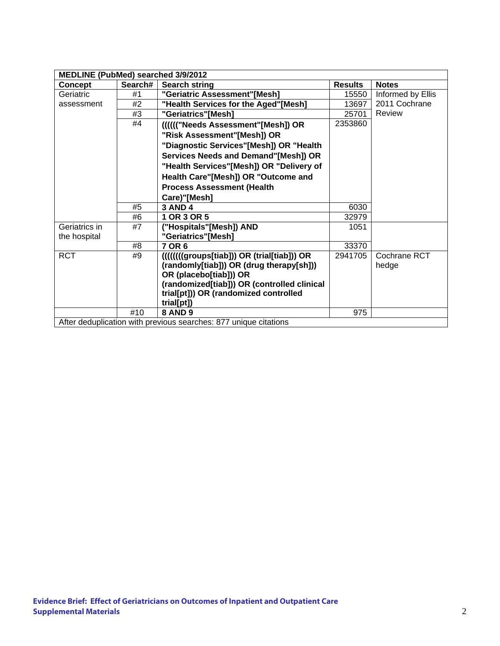| MEDLINE (PubMed) searched 3/9/2012 |         |                                                                  |                |                   |
|------------------------------------|---------|------------------------------------------------------------------|----------------|-------------------|
| <b>Concept</b>                     | Search# | <b>Search string</b>                                             | <b>Results</b> | <b>Notes</b>      |
| Geriatric                          | #1      | "Geriatric Assessment"[Mesh]                                     | 15550          | Informed by Ellis |
| assessment                         | #2      | "Health Services for the Aged"[Mesh]                             | 13697          | 2011 Cochrane     |
|                                    | #3      | "Geriatrics"[Mesh]                                               | 25701          | <b>Review</b>     |
|                                    | #4      | (((((("Needs Assessment"[Mesh]) OR                               | 2353860        |                   |
|                                    |         | "Risk Assessment"[Mesh]) OR                                      |                |                   |
|                                    |         | "Diagnostic Services"[Mesh]) OR "Health                          |                |                   |
|                                    |         | Services Needs and Demand"[Mesh]) OR                             |                |                   |
|                                    |         | "Health Services"[Mesh]) OR "Delivery of                         |                |                   |
|                                    |         | Health Care"[Mesh]) OR "Outcome and                              |                |                   |
|                                    |         | <b>Process Assessment (Health</b>                                |                |                   |
|                                    |         | Care)"[Mesh]                                                     |                |                   |
|                                    | #5      | <b>3 AND 4</b>                                                   | 6030           |                   |
|                                    | #6      | 1 OR 3 OR 5                                                      | 32979          |                   |
| Geriatrics in                      | #7      | ("Hospitals"[Mesh]) AND                                          | 1051           |                   |
| the hospital                       |         | "Geriatrics"[Mesh]                                               |                |                   |
|                                    | #8      | 7 OR 6                                                           | 33370          |                   |
| <b>RCT</b>                         | #9      |                                                                  | 2941705        | Cochrane RCT      |
|                                    |         | (randomly[tiab])) OR (drug therapy[sh]))                         |                | hedge             |
|                                    |         | OR (placebo[tiab])) OR                                           |                |                   |
|                                    |         | (randomized[tiab])) OR (controlled clinical                      |                |                   |
|                                    |         | trial[pt])) OR (randomized controlled                            |                |                   |
|                                    |         | trial[pt])                                                       |                |                   |
|                                    | #10     | <b>8 AND 9</b>                                                   | 975            |                   |
|                                    |         | After deduplication with previous searches: 877 unique citations |                |                   |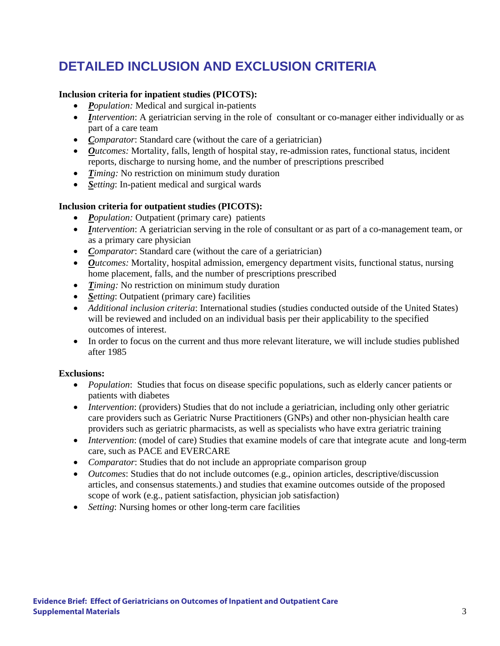## **DETAILED INCLUSION AND EXCLUSION CRITERIA**

#### **Inclusion criteria for inpatient studies (PICOTS):**

- *Population:* Medical and surgical in-patients
- *Intervention*: A geriatrician serving in the role of consultant or co-manager either individually or as part of a care team
- *Comparator*: Standard care (without the care of a geriatrician)
- *Outcomes:* Mortality, falls, length of hospital stay, re-admission rates, functional status, incident reports, discharge to nursing home, and the number of prescriptions prescribed
- *Timing:* No restriction on minimum study duration
- *Setting*: In-patient medical and surgical wards

#### **Inclusion criteria for outpatient studies (PICOTS):**

- *Population:* Outpatient (primary care) patients
- *Intervention*: A geriatrician serving in the role of consultant or as part of a co-management team, or as a primary care physician
- *Comparator*: Standard care (without the care of a geriatrician)
- *Outcomes:* Mortality, hospital admission, emergency department visits, functional status, nursing home placement, falls, and the number of prescriptions prescribed
- *Timing:* No restriction on minimum study duration
- *Setting*: Outpatient (primary care) facilities
- *Additional inclusion criteria*: International studies (studies conducted outside of the United States) will be reviewed and included on an individual basis per their applicability to the specified outcomes of interest.
- In order to focus on the current and thus more relevant literature, we will include studies published after 1985

#### **Exclusions:**

- *Population*: Studies that focus on disease specific populations, such as elderly cancer patients or patients with diabetes
- *Intervention*: (providers) Studies that do not include a geriatrician, including only other geriatric care providers such as Geriatric Nurse Practitioners (GNPs) and other non-physician health care providers such as geriatric pharmacists, as well as specialists who have extra geriatric training
- *Intervention*: (model of care) Studies that examine models of care that integrate acute and long-term care, such as PACE and EVERCARE
- *Comparator*: Studies that do not include an appropriate comparison group
- *Outcomes*: Studies that do not include outcomes (e.g., opinion articles, descriptive/discussion articles, and consensus statements.) and studies that examine outcomes outside of the proposed scope of work (e.g., patient satisfaction, physician job satisfaction)
- *Setting*: Nursing homes or other long-term care facilities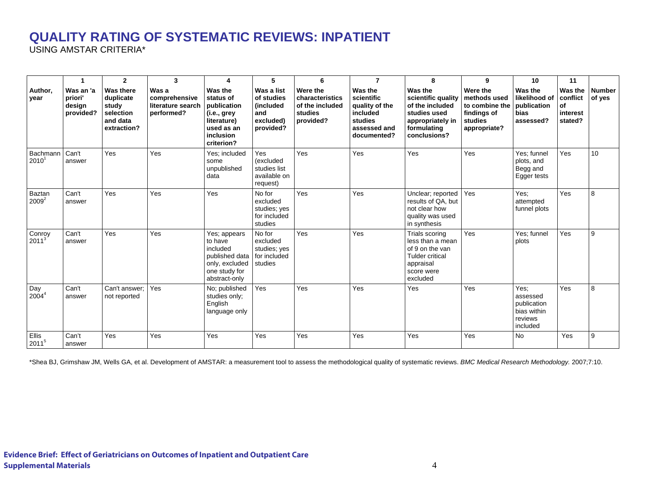#### **QUALITY RATING OF SYSTEMATIC REVIEWS: INPATIENT**

USING AMSTAR CRITERIA\*

|                      | -1                                          | $\mathbf{2}$                                                                   | 3                                                         | 4                                                                                                                 | 5                                                                      | 6                                                                      | $\overline{7}$                                                                                | 8                                                                                                                      | 9                                                                                    | 10                                                                    | 11                                                      |                         |
|----------------------|---------------------------------------------|--------------------------------------------------------------------------------|-----------------------------------------------------------|-------------------------------------------------------------------------------------------------------------------|------------------------------------------------------------------------|------------------------------------------------------------------------|-----------------------------------------------------------------------------------------------|------------------------------------------------------------------------------------------------------------------------|--------------------------------------------------------------------------------------|-----------------------------------------------------------------------|---------------------------------------------------------|-------------------------|
| Author.<br>year      | Was an 'a<br>priori'<br>design<br>provided? | <b>Was there</b><br>duplicate<br>study<br>selection<br>and data<br>extraction? | Was a<br>comprehensive<br>literature search<br>performed? | Was the<br>status of<br>publication<br>(i.e., grey<br>literature)<br>used as an<br><i>inclusion</i><br>criterion? | Was a list<br>of studies<br>(included<br>and<br>excluded)<br>provided? | Were the<br>characteristics<br>of the included<br>studies<br>provided? | Was the<br>scientific<br>quality of the<br>included<br>studies<br>assessed and<br>documented? | Was the<br>scientific quality<br>of the included<br>studies used<br>appropriately in<br>formulating<br>conclusions?    | Were the<br>methods used<br>to combine the<br>findings of<br>studies<br>appropriate? | Was the<br>likelihood of<br>publication<br>bias<br>assessed?          | Was the<br>conflict<br><b>of</b><br>interest<br>stated? | <b>Number</b><br>of yes |
| Bachmann<br>$2010^7$ | Can't<br>answer                             | Yes                                                                            | Yes                                                       | Yes; included<br>some<br>unpublished<br>data                                                                      | Yes<br><i>(excluded)</i><br>studies list<br>available on<br>request)   | Yes                                                                    | Yes                                                                                           | Yes                                                                                                                    | Yes                                                                                  | Yes; funnel<br>plots, and<br>Begg and<br>Egger tests                  | Yes                                                     | 10                      |
| Baztan<br>$2009^2$   | Can't<br>answer                             | Yes                                                                            | Yes                                                       | Yes                                                                                                               | No for<br>excluded<br>studies; yes<br>for included<br>studies          | Yes                                                                    | Yes                                                                                           | Unclear; reported<br>results of QA, but<br>not clear how<br>quality was used<br>in synthesis                           | Yes                                                                                  | Yes:<br>attempted<br>funnel plots                                     | Yes                                                     | 8                       |
| Conroy<br>$20113$    | Can't<br>answer                             | Yes                                                                            | Yes                                                       | Yes; appears<br>to have<br>included<br>published data<br>only, excluded<br>one study for<br>abstract-only         | No for<br>excluded<br>studies; yes<br>for included<br>studies          | Yes                                                                    | Yes                                                                                           | Trials scoring<br>less than a mean<br>of 9 on the van<br><b>Tulder critical</b><br>appraisal<br>score were<br>excluded | Yes                                                                                  | Yes: funnel<br>plots                                                  | Yes                                                     | 9                       |
| Day<br>$2004^4$      | Can't<br>answer                             | Can't answer;<br>not reported                                                  | Yes                                                       | No; published<br>studies only;<br>English<br>language only                                                        | Yes                                                                    | Yes                                                                    | Yes                                                                                           | Yes                                                                                                                    | Yes                                                                                  | Yes:<br>assessed<br>publication<br>bias within<br>reviews<br>included | Yes                                                     | 8                       |
| Ellis<br>20115       | Can't<br>answer                             | Yes                                                                            | Yes                                                       | Yes                                                                                                               | Yes                                                                    | Yes                                                                    | Yes                                                                                           | Yes                                                                                                                    | Yes                                                                                  | <b>No</b>                                                             | Yes                                                     | 9                       |

\*Shea BJ, Grimshaw JM, Wells GA, et al. Development of AMSTAR: a measurement tool to assess the methodological quality of systematic reviews. *BMC Medical Research Methodology.* 2007;7:10.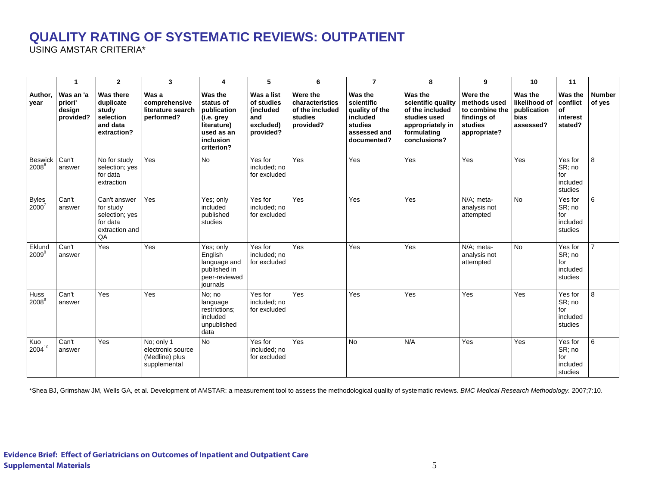#### **QUALITY RATING OF SYSTEMATIC REVIEWS: OUTPATIENT**

USING AMSTAR CRITERIA\*

|                            | $\mathbf{1}$                                | $\overline{2}$                                                                  | $\mathbf{3}$                                                      | 4                                                                                                                | 5                                                                       | 6                                                                      | $\overline{7}$                                                                                | 8                                                                                                                   | 9                                                                                    | 10                                                                  | 11                                               |                         |
|----------------------------|---------------------------------------------|---------------------------------------------------------------------------------|-------------------------------------------------------------------|------------------------------------------------------------------------------------------------------------------|-------------------------------------------------------------------------|------------------------------------------------------------------------|-----------------------------------------------------------------------------------------------|---------------------------------------------------------------------------------------------------------------------|--------------------------------------------------------------------------------------|---------------------------------------------------------------------|--------------------------------------------------|-------------------------|
| Author.<br>year            | Was an 'a<br>priori'<br>design<br>provided? | <b>Was there</b><br>duplicate<br>study<br>selection<br>and data<br>extraction?  | Was a<br>comprehensive<br>literature search<br>performed?         | Was the<br>status of<br>publication<br>(i.e. grey<br>literature)<br>used as an<br><i>inclusion</i><br>criterion? | Was a list<br>of studies<br>lincluded<br>land<br>excluded)<br>provided? | Were the<br>characteristics<br>of the included<br>studies<br>provided? | Was the<br>scientific<br>quality of the<br>included<br>studies<br>assessed and<br>documented? | Was the<br>scientific quality<br>of the included<br>studies used<br>appropriately in<br>formulating<br>conclusions? | Were the<br>methods used<br>to combine the<br>findings of<br>studies<br>appropriate? | Was the<br>likelihood of<br>publication<br><b>bias</b><br>assessed? | Was the<br>conflict<br>of<br>interest<br>stated? | <b>Number</b><br>of yes |
| <b>Beswick</b><br>$2008^6$ | Can't<br>answer                             | No for study<br>selection; yes<br>for data<br>extraction                        | Yes                                                               | <b>No</b>                                                                                                        | Yes for<br>included; no<br>for excluded                                 | Yes                                                                    | Yes                                                                                           | Yes                                                                                                                 | Yes                                                                                  | Yes                                                                 | Yes for<br>SR; no<br>for<br>included<br>studies  | $\mathsf{R}$            |
| <b>Byles</b><br>$2000^7$   | Can't<br>answer                             | Can't answer<br>for study<br>selection; yes<br>for data<br>extraction and<br>QA | Yes                                                               | Yes; only<br>included<br>published<br>studies                                                                    | Yes for<br>included; no<br>for excluded                                 | Yes                                                                    | Yes                                                                                           | Yes                                                                                                                 | N/A: meta-<br>analysis not<br>attempted                                              | <b>No</b>                                                           | Yes for<br>SR; no<br>for<br>included<br>studies  | 6                       |
| Eklund<br>$2009^{8}$       | Can't<br>answer                             | Yes                                                                             | Yes                                                               | Yes; only<br>English<br>language and<br>published in<br>peer-reviewed<br>iournals                                | Yes for<br>included: no<br>for excluded                                 | Yes                                                                    | Yes                                                                                           | Yes                                                                                                                 | N/A; meta-<br>analysis not<br>attempted                                              | <b>No</b>                                                           | Yes for<br>SR; no<br>for<br>included<br>studies  |                         |
| Huss<br>2008 <sup>9</sup>  | Can't<br>answer                             | Yes                                                                             | Yes                                                               | No: no<br>language<br>restrictions;<br>included<br>unpublished<br>data                                           | Yes for<br>included; no<br>for excluded                                 | Yes                                                                    | Yes                                                                                           | Yes                                                                                                                 | Yes                                                                                  | Yes                                                                 | Yes for<br>SR; no<br>for<br>included<br>studies  | 8                       |
| Kuo<br>$2004^{10}$         | Can't<br>answer                             | Yes                                                                             | No: only 1<br>electronic source<br>(Medline) plus<br>supplemental | <b>No</b>                                                                                                        | Yes for<br>included; no<br>for excluded                                 | Yes                                                                    | <b>No</b>                                                                                     | N/A                                                                                                                 | Yes                                                                                  | Yes                                                                 | Yes for<br>SR; no<br>for<br>included<br>studies  | 6                       |

\*Shea BJ, Grimshaw JM, Wells GA, et al. Development of AMSTAR: a measurement tool to assess the methodological quality of systematic reviews. *BMC Medical Research Methodology.* 2007;7:10.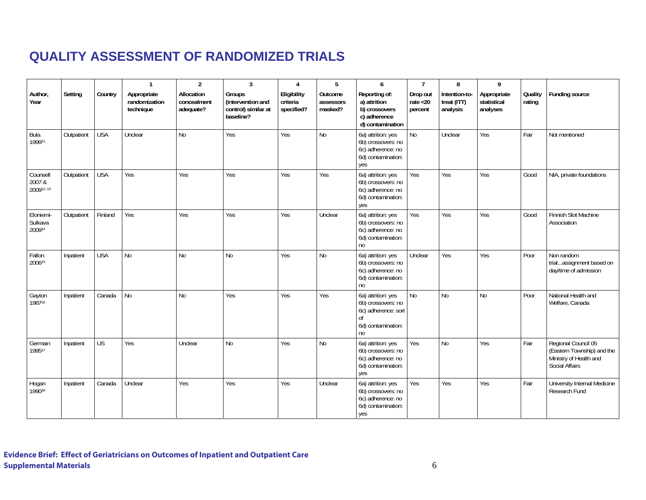#### **QUALITY ASSESSMENT OF RANDOMIZED TRIALS**

|                                  |            |            | $\overline{1}$                            | $\overline{2}$                         | 3                                                               | $\overline{4}$                        | 5                               | 6                                                                                                     | $\overline{7}$                     | 8                                        | 9                                      |                   |                                                                                                      |
|----------------------------------|------------|------------|-------------------------------------------|----------------------------------------|-----------------------------------------------------------------|---------------------------------------|---------------------------------|-------------------------------------------------------------------------------------------------------|------------------------------------|------------------------------------------|----------------------------------------|-------------------|------------------------------------------------------------------------------------------------------|
| Author,<br>Year                  | Setting    | Country    | Appropriate<br>randomization<br>technique | Allocation<br>concealment<br>adequate? | Groups<br>(intervention and<br>control) similar at<br>baseline? | Eligibility<br>criteria<br>specified? | Outcome<br>assessors<br>masked? | Reporting of:<br>a) attrition<br>b) crossovers<br>c) adherence<br>d) contamination                    | Drop out<br>rate $<$ 20<br>percent | Intention-to-<br>treat (ITT)<br>analysis | Appropriate<br>statistical<br>analyses | Quality<br>rating | <b>Funding source</b>                                                                                |
| Bula<br>199911                   | Outpatient | <b>USA</b> | Unclear                                   | N <sub>0</sub>                         | Yes                                                             | Yes                                   | <b>No</b>                       | 6a) attrition: yes<br>6b) crossovers: no<br>6c) adherence: no<br>6d) contamination:<br>yes            | <b>No</b>                          | Unclear                                  | Yes                                    | Fair              | Not mentioned                                                                                        |
| Counsell<br>2007 &<br>200912, 13 | Outpatient | <b>USA</b> | Yes                                       | Yes                                    | Yes                                                             | Yes                                   | Yes                             | 6a) attrition: yes<br>6b) crossovers: no<br>6c) adherence: no<br>6d) contamination:<br>yes            | Yes                                | Yes                                      | Yes                                    | Good              | NIA, private foundations                                                                             |
| Eloniemi-<br>Sulkava<br>200914   | Outpatient | Finland    | Yes                                       | Yes                                    | Yes                                                             | Yes                                   | Unclear                         | 6a) attrition: yes<br>6b) crossovers: no<br>6c) adherence: no<br>6d) contamination:<br>no             | Yes                                | Yes                                      | Yes                                    | Good              | Finnish Slot Machine<br>Association                                                                  |
| Fallon<br>200615                 | Inpatient  | <b>USA</b> | <b>No</b>                                 | N <sub>o</sub>                         | N <sub>0</sub>                                                  | Yes                                   | <b>No</b>                       | 6a) attrition: yes<br>6b) crossovers: no<br>6c) adherence: no<br>6d) contamination:<br>n <sub>0</sub> | Unclear                            | Yes                                      | Yes                                    | Poor              | Non random<br>trialassignment based on<br>day/time of admission                                      |
| Gayton<br>198716                 | Inpatient  | Canada     | <b>No</b>                                 | No                                     | Yes                                                             | Yes                                   | Yes                             | 6a) attrition: yes<br>6b) crossovers: no<br>6c) adherence: sort<br>6d) contamination:<br>no           | <b>No</b>                          | <b>No</b>                                | No                                     | Poor              | National Health and<br>Welfare, Canada                                                               |
| Germain<br>199517                | Inpatient  | <b>US</b>  | Yes                                       | Unclear                                | <b>No</b>                                                       | Yes                                   | <b>No</b>                       | 6a) attrition: yes<br>6b) crossovers: no<br>6c) adherence: no<br>6d) contamination:<br>yes            | Yes                                | No                                       | Yes                                    | Fair              | Regional Council 05<br>(Eastern Township) and the<br>Ministry of Health and<br><b>Social Affairs</b> |
| Hogan<br>199018                  | Inpatient  | Canada     | Unclear                                   | Yes                                    | Yes                                                             | Yes                                   | Unclear                         | 6a) attrition: yes<br>6b) crossovers: no<br>6c) adherence: no<br>6d) contamination:<br>yes            | Yes                                | Yes                                      | Yes                                    | Fair              | University Internal Medicine<br>Research Fund                                                        |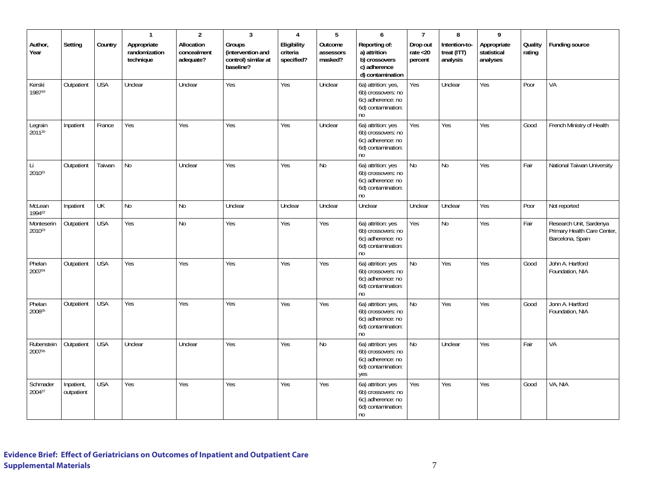|                      |                          |            | $\overline{1}$                            | $\overline{2}$                         | $\overline{3}$                                                  | $\overline{4}$                        | 5                               | $\overline{6}$                                                                                        | $\overline{7}$                     | 8                                        | 9                                      |                   |                                                                            |
|----------------------|--------------------------|------------|-------------------------------------------|----------------------------------------|-----------------------------------------------------------------|---------------------------------------|---------------------------------|-------------------------------------------------------------------------------------------------------|------------------------------------|------------------------------------------|----------------------------------------|-------------------|----------------------------------------------------------------------------|
| Author,<br>Year      | Setting                  | Country    | Appropriate<br>randomization<br>technique | Allocation<br>concealment<br>adequate? | Groups<br>(intervention and<br>control) similar at<br>baseline? | Eligibility<br>criteria<br>specified? | Outcome<br>assessors<br>masked? | Reporting of:<br>a) attrition<br>b) crossovers<br>c) adherence<br>d) contamination                    | Drop out<br>rate $<$ 20<br>percent | Intention-to-<br>treat (ITT)<br>analysis | Appropriate<br>statistical<br>analyses | Quality<br>rating | Funding source                                                             |
| Kerski<br>198719     | Outpatient               | <b>USA</b> | Unclear                                   | Unclear                                | Yes                                                             | Yes                                   | Unclear                         | 6a) attrition: yes,<br>6b) crossovers: no<br>6c) adherence: no<br>6d) contamination:<br>no            | Yes                                | Unclear                                  | Yes                                    | Poor              | VA                                                                         |
| Legrain<br>201120    | Inpatient                | France     | Yes                                       | Yes                                    | Yes                                                             | Yes                                   | Unclear                         | 6a) attrition: yes<br>6b) crossovers: no<br>6c) adherence: no<br>6d) contamination:<br>no             | Yes                                | Yes                                      | Yes                                    | Good              | French Ministry of Health                                                  |
| Li<br>201021         | Outpatient               | Taiwan     | No                                        | Unclear                                | Yes                                                             | Yes                                   | No                              | 6a) attrition: yes<br>6b) crossovers: no<br>6c) adherence: no<br>6d) contamination:<br>no             | No                                 | No                                       | Yes                                    | Fair              | National Taiwan University                                                 |
| McLean<br>199422     | Inpatient                | UK         | No                                        | No                                     | Unclear                                                         | Unclear                               | Unclear                         | Unclear                                                                                               | Unclear                            | Unclear                                  | Yes                                    | Poor              | Not reported                                                               |
| Monteserin<br>201023 | Outpatient               | <b>USA</b> | Yes                                       | No                                     | Yes                                                             | Yes                                   | Yes                             | 6a) attrition: yes<br>6b) crossovers: no<br>6c) adherence: no<br>6d) contamination:<br>no             | Yes                                | No                                       | Yes                                    | Fair              | Research Unit, Sardenya<br>Primary Health Care Center,<br>Barcelona, Spain |
| Phelan<br>200724     | Outpatient               | <b>USA</b> | Yes                                       | Yes                                    | Yes                                                             | Yes                                   | Yes                             | 6a) attrition: yes<br>6b) crossovers: no<br>6c) adherence: no<br>6d) contamination:<br>no             | No                                 | Yes                                      | Yes                                    | Good              | John A. Hartford<br>Foundation, NIA                                        |
| Phelan<br>200825     | Outpatient               | <b>USA</b> | Yes                                       | Yes                                    | Yes                                                             | Yes                                   | Yes                             | 6a) attrition: yes,<br>6b) crossovers: no<br>6c) adherence: no<br>6d) contamination:<br>no            | No                                 | Yes                                      | Yes                                    | Good              | Jonn A. Hartford<br>Foundation, NIA                                        |
| Rubenstein<br>200726 | Outpatient               | <b>USA</b> | Unclear                                   | Unclear                                | Yes                                                             | Yes                                   | No                              | 6a) attrition: yes<br>6b) crossovers: no<br>6c) adherence: no<br>6d) contamination:<br>yes            | No                                 | Unclear                                  | Yes                                    | Fair              | VA                                                                         |
| Schmader<br>200427   | Inpatient,<br>outpatient | <b>USA</b> | Yes                                       | Yes                                    | Yes                                                             | Yes                                   | Yes                             | 6a) attrition: yes<br>6b) crossovers: no<br>6c) adherence: no<br>6d) contamination:<br>n <sub>0</sub> | Yes                                | Yes                                      | Yes                                    | Good              | VA, NIA                                                                    |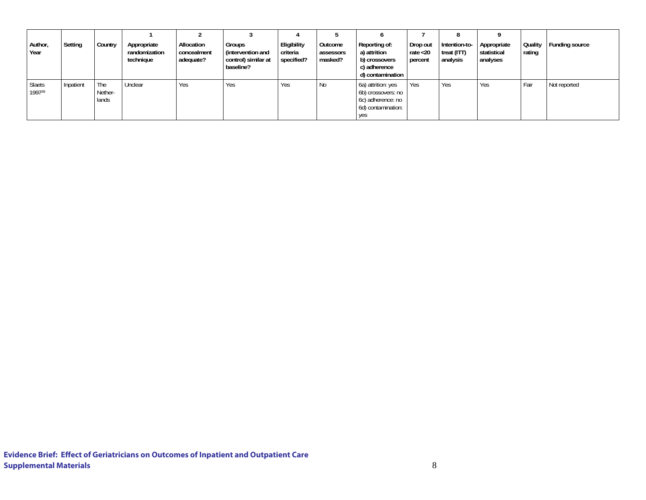| Author,<br>Year  | Setting   | Country                 | Appropriate<br>randomization<br>technique | Allocation<br>concealment<br>adequate? | <b>Groups</b><br>(intervention and<br>control) similar at<br>baseline? | Eligibility<br>criteria<br>specified? | Outcome<br>assessors<br>masked? | Reporting of:<br>a) attrition<br>b) crossovers<br>c) adherence<br>d) contamination         | Drop out<br>rate $<$ 20<br>percent | õ<br>Intention-to-<br>treat (ITT)<br>analysis | Appropriate<br>statistical<br>analyses | Quality<br>rating | Funding source |
|------------------|-----------|-------------------------|-------------------------------------------|----------------------------------------|------------------------------------------------------------------------|---------------------------------------|---------------------------------|--------------------------------------------------------------------------------------------|------------------------------------|-----------------------------------------------|----------------------------------------|-------------------|----------------|
| Slaets<br>199728 | Inpatient | The<br>Nether-<br>lands | Unclear                                   | Yes                                    | <b>Yes</b>                                                             | Yes                                   | <b>No</b>                       | 6a) attrition: yes<br>6b) crossovers: no<br>6c) adherence: no<br>6d) contamination:<br>yes | Yes                                | Yes                                           | Yes                                    | Fair              | Not reported   |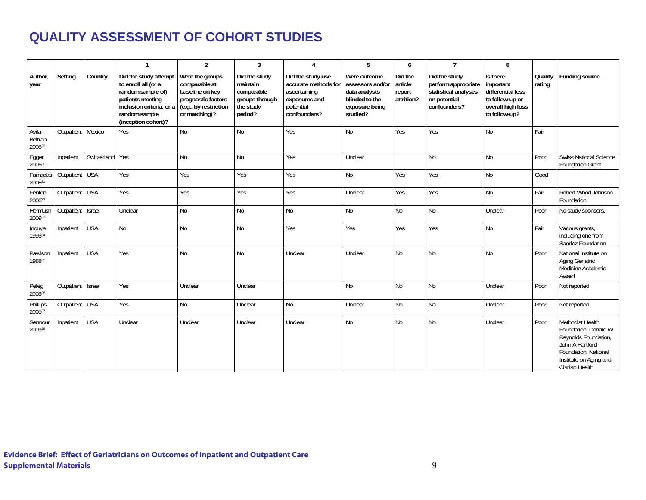#### **QUALITY ASSESSMENT OF COHORT STUDIES**

|                             |            |                 | $\mathbf{1}$                                                                                                                                              | $\overline{2}$                                                                                                      | 3                                                                                 | 4                                                                                                       | 5                                                                                                 | 6                                          | $\overline{7}$                                                                               | 8                                                                                                   |                     |                                                                                                                                                         |
|-----------------------------|------------|-----------------|-----------------------------------------------------------------------------------------------------------------------------------------------------------|---------------------------------------------------------------------------------------------------------------------|-----------------------------------------------------------------------------------|---------------------------------------------------------------------------------------------------------|---------------------------------------------------------------------------------------------------|--------------------------------------------|----------------------------------------------------------------------------------------------|-----------------------------------------------------------------------------------------------------|---------------------|---------------------------------------------------------------------------------------------------------------------------------------------------------|
| Author,<br>year             | Setting    | Country         | Did the study attempt<br>to enroll all (or a<br>random sample of)<br>patients meeting<br>inclusion criteria, or a<br>random sample<br>(inception cohort)? | Were the groups<br>comparable at<br>baseline on key<br>prognostic factors<br>(e.g., by restriction<br>or matching)? | Did the study<br>maintain<br>comparable<br>groups through<br>the study<br>period? | Did the study use<br>accurate methods for<br>ascertaining<br>exposures and<br>potential<br>confounders? | Were outcome<br>assessors and/or<br>data analysts<br>blinded to the<br>exposure being<br>studied? | Did the<br>article<br>report<br>attrition? | Did the study<br>perform appropriate<br>statistical analyses<br>on potential<br>confounders? | Is there<br>important<br>differential loss<br>to follow-up or<br>overall high loss<br>to follow-up? | Quality  <br>rating | <b>Funding source</b>                                                                                                                                   |
| Avila-<br>Beltran<br>200829 | Outpatient | Mexico          | Yes                                                                                                                                                       | N <sub>o</sub>                                                                                                      | N <sub>0</sub>                                                                    | Yes                                                                                                     | <b>No</b>                                                                                         | Yes                                        | Yes                                                                                          | N <sub>o</sub>                                                                                      | Fair                |                                                                                                                                                         |
| Egger<br>200630             | Inpatient  | Switzerland Yes |                                                                                                                                                           | No                                                                                                                  | <b>No</b>                                                                         | Yes                                                                                                     | Unclear                                                                                           |                                            | <b>No</b>                                                                                    | N <sub>o</sub>                                                                                      | Poor                | <b>Swiss National Science</b><br><b>Foundation Grant</b>                                                                                                |
| Famadas<br>200831           | Outpatient | <b>USA</b>      | Yes                                                                                                                                                       | Yes                                                                                                                 | Yes                                                                               | Yes                                                                                                     | No                                                                                                | Yes                                        | Yes                                                                                          | N <sub>0</sub>                                                                                      | Good                |                                                                                                                                                         |
| Fenton<br>200632            | Outpatient | <b>USA</b>      | Yes                                                                                                                                                       | Yes                                                                                                                 | Yes                                                                               | Yes                                                                                                     | Unclear                                                                                           | Yes                                        | Yes                                                                                          | No                                                                                                  | Fair                | Robert Wood Johnson<br>Foundation                                                                                                                       |
| Hermush<br>200933           | Outpatient | Israel          | Unclear                                                                                                                                                   | N <sub>o</sub>                                                                                                      | <b>No</b>                                                                         | N <sub>o</sub>                                                                                          | <b>No</b>                                                                                         | <b>No</b>                                  | <b>No</b>                                                                                    | Unclear                                                                                             | Poor                | No study sponsors.                                                                                                                                      |
| Inouye<br>199334            | Inpatient  | <b>USA</b>      | No                                                                                                                                                        | No                                                                                                                  | <b>No</b>                                                                         | Yes                                                                                                     | Yes                                                                                               | Yes                                        | Yes                                                                                          | N <sub>o</sub>                                                                                      | Fair                | Various grants,<br>including one from<br>Sandoz Foundation                                                                                              |
| Pawlson<br>198835           | Inpatient  | <b>USA</b>      | Yes                                                                                                                                                       | No                                                                                                                  | <b>No</b>                                                                         | Unclear                                                                                                 | Unclear                                                                                           | <b>No</b>                                  | <b>No</b>                                                                                    | N <sub>o</sub>                                                                                      | Poor                | National Institute on<br>Aging Geriatric<br>Medicine Academic<br>Award                                                                                  |
| Peleg<br>200836             | Outpatient | Israel          | Yes                                                                                                                                                       | Unclear                                                                                                             | Unclear                                                                           |                                                                                                         | <b>No</b>                                                                                         | <b>No</b>                                  | <b>No</b>                                                                                    | Unclear                                                                                             | Poor                | Not reported                                                                                                                                            |
| Phillips<br>200537          | Outpatient | <b>USA</b>      | Yes                                                                                                                                                       | No                                                                                                                  | Unclear                                                                           | N <sub>o</sub>                                                                                          | Unclear                                                                                           | <b>No</b>                                  | <b>No</b>                                                                                    | Unclear                                                                                             | Poor                | Not reported                                                                                                                                            |
| Sennour<br>200938           | Inpatient  | <b>USA</b>      | Unclear                                                                                                                                                   | Unclear                                                                                                             | Unclear                                                                           | Unclear                                                                                                 | <b>No</b>                                                                                         | <b>No</b>                                  | N <sub>0</sub>                                                                               | Unclear                                                                                             | Poor                | Methodist Health<br>Foundation, Donald W<br>Reynolds Foundation,<br>John A Hartford<br>Foundation, National<br>Institute on Aging and<br>Clarian Health |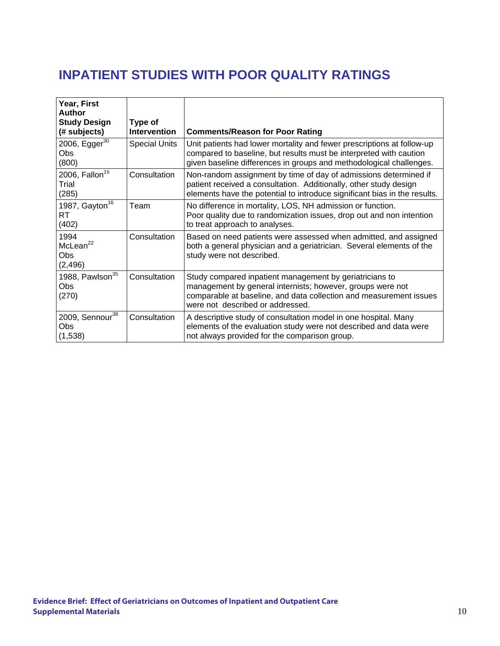## **INPATIENT STUDIES WITH POOR QUALITY RATINGS**

| Year, First<br><b>Author</b><br><b>Study Design</b><br>(# subjects) | Type of<br><b>Intervention</b> | <b>Comments/Reason for Poor Rating</b>                                                                                                                                                                                          |
|---------------------------------------------------------------------|--------------------------------|---------------------------------------------------------------------------------------------------------------------------------------------------------------------------------------------------------------------------------|
| 2006, Egger <sup>30</sup><br>Obs<br>(800)                           | <b>Special Units</b>           | Unit patients had lower mortality and fewer prescriptions at follow-up<br>compared to baseline, but results must be interpreted with caution<br>given baseline differences in groups and methodological challenges.             |
| 2006, Fallon <sup>15</sup><br>Trial<br>(285)                        | Consultation                   | Non-random assignment by time of day of admissions determined if<br>patient received a consultation. Additionally, other study design<br>elements have the potential to introduce significant bias in the results.              |
| 1987, Gayton <sup>16</sup><br>RT<br>(402)                           | Team                           | No difference in mortality, LOS, NH admission or function.<br>Poor quality due to randomization issues, drop out and non intention<br>to treat approach to analyses.                                                            |
| 1994<br>McLean <sup>22</sup><br>Obs<br>(2, 496)                     | Consultation                   | Based on need patients were assessed when admitted, and assigned<br>both a general physician and a geriatrician. Several elements of the<br>study were not described.                                                           |
| 1988, Pawlson <sup>35</sup><br>Obs<br>(270)                         | Consultation                   | Study compared inpatient management by geriatricians to<br>management by general internists; however, groups were not<br>comparable at baseline, and data collection and measurement issues<br>were not described or addressed. |
| 2009, Sennour <sup>38</sup><br>Obs<br>(1,538)                       | Consultation                   | A descriptive study of consultation model in one hospital. Many<br>elements of the evaluation study were not described and data were<br>not always provided for the comparison group.                                           |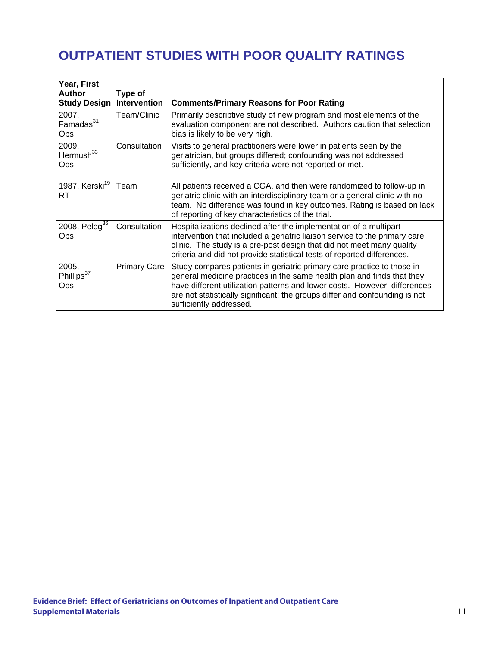# **OUTPATIENT STUDIES WITH POOR QUALITY RATINGS**

| Year, First<br><b>Author</b><br><b>Study Design</b> | Type of<br>Intervention | <b>Comments/Primary Reasons for Poor Rating</b>                                                                                                                                                                                                                                                                                         |
|-----------------------------------------------------|-------------------------|-----------------------------------------------------------------------------------------------------------------------------------------------------------------------------------------------------------------------------------------------------------------------------------------------------------------------------------------|
| 2007,<br>Famadas <sup>31</sup><br><b>Obs</b>        | Team/Clinic             | Primarily descriptive study of new program and most elements of the<br>evaluation component are not described. Authors caution that selection<br>bias is likely to be very high.                                                                                                                                                        |
| 2009,<br>Hermush <sup>33</sup><br>Obs               | Consultation            | Visits to general practitioners were lower in patients seen by the<br>geriatrician, but groups differed; confounding was not addressed<br>sufficiently, and key criteria were not reported or met.                                                                                                                                      |
| 1987, Kerski <sup>19</sup><br><b>RT</b>             | Team                    | All patients received a CGA, and then were randomized to follow-up in<br>geriatric clinic with an interdisciplinary team or a general clinic with no<br>team. No difference was found in key outcomes. Rating is based on lack<br>of reporting of key characteristics of the trial.                                                     |
| 2008, Peleg <sup>36</sup><br>Obs                    | Consultation            | Hospitalizations declined after the implementation of a multipart<br>intervention that included a geriatric liaison service to the primary care<br>clinic. The study is a pre-post design that did not meet many quality<br>criteria and did not provide statistical tests of reported differences.                                     |
| 2005,<br>Phillips <sup>37</sup><br>Obs              | <b>Primary Care</b>     | Study compares patients in geriatric primary care practice to those in<br>general medicine practices in the same health plan and finds that they<br>have different utilization patterns and lower costs. However, differences<br>are not statistically significant; the groups differ and confounding is not<br>sufficiently addressed. |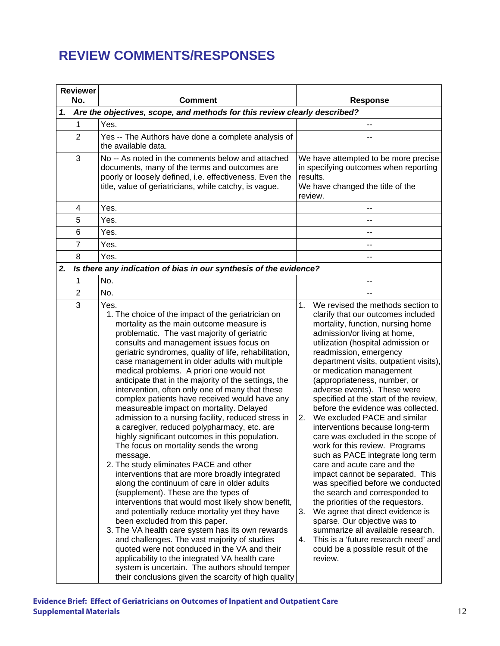#### **REVIEW COMMENTS/RESPONSES**

|    | <b>Reviewer</b><br>No. | <b>Comment</b>                                                                                                                                                                                                                                                                                                                                                                                                                                                                                                                                                                                                                                                                                                                                                                                                                                                                                                                                                                                                                                                                                                                                                                                                                                                                                                                                                                                                    |                | <b>Response</b>                                                                                                                                                                                                                                                                                                                                                                                                                                                                                                                                                                                                                                                                                                                                                                                                                                                                                                                                           |
|----|------------------------|-------------------------------------------------------------------------------------------------------------------------------------------------------------------------------------------------------------------------------------------------------------------------------------------------------------------------------------------------------------------------------------------------------------------------------------------------------------------------------------------------------------------------------------------------------------------------------------------------------------------------------------------------------------------------------------------------------------------------------------------------------------------------------------------------------------------------------------------------------------------------------------------------------------------------------------------------------------------------------------------------------------------------------------------------------------------------------------------------------------------------------------------------------------------------------------------------------------------------------------------------------------------------------------------------------------------------------------------------------------------------------------------------------------------|----------------|-----------------------------------------------------------------------------------------------------------------------------------------------------------------------------------------------------------------------------------------------------------------------------------------------------------------------------------------------------------------------------------------------------------------------------------------------------------------------------------------------------------------------------------------------------------------------------------------------------------------------------------------------------------------------------------------------------------------------------------------------------------------------------------------------------------------------------------------------------------------------------------------------------------------------------------------------------------|
| 1. |                        | Are the objectives, scope, and methods for this review clearly described?                                                                                                                                                                                                                                                                                                                                                                                                                                                                                                                                                                                                                                                                                                                                                                                                                                                                                                                                                                                                                                                                                                                                                                                                                                                                                                                                         |                |                                                                                                                                                                                                                                                                                                                                                                                                                                                                                                                                                                                                                                                                                                                                                                                                                                                                                                                                                           |
|    | 1                      | Yes.                                                                                                                                                                                                                                                                                                                                                                                                                                                                                                                                                                                                                                                                                                                                                                                                                                                                                                                                                                                                                                                                                                                                                                                                                                                                                                                                                                                                              |                | --                                                                                                                                                                                                                                                                                                                                                                                                                                                                                                                                                                                                                                                                                                                                                                                                                                                                                                                                                        |
|    | $\overline{2}$         | Yes -- The Authors have done a complete analysis of<br>the available data.                                                                                                                                                                                                                                                                                                                                                                                                                                                                                                                                                                                                                                                                                                                                                                                                                                                                                                                                                                                                                                                                                                                                                                                                                                                                                                                                        |                |                                                                                                                                                                                                                                                                                                                                                                                                                                                                                                                                                                                                                                                                                                                                                                                                                                                                                                                                                           |
|    | 3                      | No -- As noted in the comments below and attached<br>documents, many of the terms and outcomes are<br>poorly or loosely defined, i.e. effectiveness. Even the<br>title, value of geriatricians, while catchy, is vague.                                                                                                                                                                                                                                                                                                                                                                                                                                                                                                                                                                                                                                                                                                                                                                                                                                                                                                                                                                                                                                                                                                                                                                                           |                | We have attempted to be more precise<br>in specifying outcomes when reporting<br>results.<br>We have changed the title of the<br>review.                                                                                                                                                                                                                                                                                                                                                                                                                                                                                                                                                                                                                                                                                                                                                                                                                  |
|    | 4                      | Yes.                                                                                                                                                                                                                                                                                                                                                                                                                                                                                                                                                                                                                                                                                                                                                                                                                                                                                                                                                                                                                                                                                                                                                                                                                                                                                                                                                                                                              |                |                                                                                                                                                                                                                                                                                                                                                                                                                                                                                                                                                                                                                                                                                                                                                                                                                                                                                                                                                           |
|    | 5                      | Yes.                                                                                                                                                                                                                                                                                                                                                                                                                                                                                                                                                                                                                                                                                                                                                                                                                                                                                                                                                                                                                                                                                                                                                                                                                                                                                                                                                                                                              |                | --                                                                                                                                                                                                                                                                                                                                                                                                                                                                                                                                                                                                                                                                                                                                                                                                                                                                                                                                                        |
|    | 6                      | Yes.                                                                                                                                                                                                                                                                                                                                                                                                                                                                                                                                                                                                                                                                                                                                                                                                                                                                                                                                                                                                                                                                                                                                                                                                                                                                                                                                                                                                              |                | --                                                                                                                                                                                                                                                                                                                                                                                                                                                                                                                                                                                                                                                                                                                                                                                                                                                                                                                                                        |
|    | $\overline{7}$         | Yes.                                                                                                                                                                                                                                                                                                                                                                                                                                                                                                                                                                                                                                                                                                                                                                                                                                                                                                                                                                                                                                                                                                                                                                                                                                                                                                                                                                                                              |                | --                                                                                                                                                                                                                                                                                                                                                                                                                                                                                                                                                                                                                                                                                                                                                                                                                                                                                                                                                        |
|    | 8                      | Yes.                                                                                                                                                                                                                                                                                                                                                                                                                                                                                                                                                                                                                                                                                                                                                                                                                                                                                                                                                                                                                                                                                                                                                                                                                                                                                                                                                                                                              |                | --                                                                                                                                                                                                                                                                                                                                                                                                                                                                                                                                                                                                                                                                                                                                                                                                                                                                                                                                                        |
| 2. |                        | Is there any indication of bias in our synthesis of the evidence?                                                                                                                                                                                                                                                                                                                                                                                                                                                                                                                                                                                                                                                                                                                                                                                                                                                                                                                                                                                                                                                                                                                                                                                                                                                                                                                                                 |                |                                                                                                                                                                                                                                                                                                                                                                                                                                                                                                                                                                                                                                                                                                                                                                                                                                                                                                                                                           |
|    | 1                      | No.                                                                                                                                                                                                                                                                                                                                                                                                                                                                                                                                                                                                                                                                                                                                                                                                                                                                                                                                                                                                                                                                                                                                                                                                                                                                                                                                                                                                               |                | --                                                                                                                                                                                                                                                                                                                                                                                                                                                                                                                                                                                                                                                                                                                                                                                                                                                                                                                                                        |
|    | $\overline{2}$         | No.                                                                                                                                                                                                                                                                                                                                                                                                                                                                                                                                                                                                                                                                                                                                                                                                                                                                                                                                                                                                                                                                                                                                                                                                                                                                                                                                                                                                               |                |                                                                                                                                                                                                                                                                                                                                                                                                                                                                                                                                                                                                                                                                                                                                                                                                                                                                                                                                                           |
|    | 3                      | Yes.                                                                                                                                                                                                                                                                                                                                                                                                                                                                                                                                                                                                                                                                                                                                                                                                                                                                                                                                                                                                                                                                                                                                                                                                                                                                                                                                                                                                              | 1.             | We revised the methods section to                                                                                                                                                                                                                                                                                                                                                                                                                                                                                                                                                                                                                                                                                                                                                                                                                                                                                                                         |
|    |                        | 1. The choice of the impact of the geriatrician on<br>mortality as the main outcome measure is<br>problematic. The vast majority of geriatric<br>consults and management issues focus on<br>geriatric syndromes, quality of life, rehabilitation,<br>case management in older adults with multiple<br>medical problems. A priori one would not<br>anticipate that in the majority of the settings, the<br>intervention, often only one of many that these<br>complex patients have received would have any<br>measureable impact on mortality. Delayed<br>admission to a nursing facility, reduced stress in<br>a caregiver, reduced polypharmacy, etc. are<br>highly significant outcomes in this population.<br>The focus on mortality sends the wrong<br>message.<br>2. The study eliminates PACE and other<br>interventions that are more broadly integrated<br>along the continuum of care in older adults<br>(supplement). These are the types of<br>interventions that would most likely show benefit,<br>and potentially reduce mortality yet they have<br>been excluded from this paper.<br>3. The VA health care system has its own rewards<br>and challenges. The vast majority of studies<br>quoted were not conduced in the VA and their<br>applicability to the integrated VA health care<br>system is uncertain. The authors should temper<br>their conclusions given the scarcity of high quality | 2.<br>3.<br>4. | clarify that our outcomes included<br>mortality, function, nursing home<br>admission/or living at home,<br>utilization (hospital admission or<br>readmission, emergency<br>department visits, outpatient visits),<br>or medication management<br>(appropriateness, number, or<br>adverse events). These were<br>specified at the start of the review,<br>before the evidence was collected.<br>We excluded PACE and similar<br>interventions because long-term<br>care was excluded in the scope of<br>work for this review. Programs<br>such as PACE integrate long term<br>care and acute care and the<br>impact cannot be separated. This<br>was specified before we conducted<br>the search and corresponded to<br>the priorities of the requestors.<br>We agree that direct evidence is<br>sparse. Our objective was to<br>summarize all available research.<br>This is a 'future research need' and<br>could be a possible result of the<br>review. |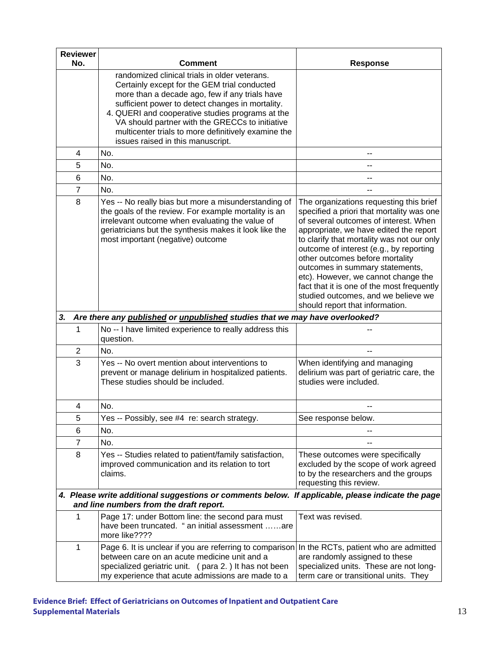| <b>Reviewer</b><br>No. | <b>Comment</b>                                                                                                                                                                                                                                                                                                                                                                                         | <b>Response</b>                                                                                                                                                                                                                                                                                                                                                                                                                                                                                       |
|------------------------|--------------------------------------------------------------------------------------------------------------------------------------------------------------------------------------------------------------------------------------------------------------------------------------------------------------------------------------------------------------------------------------------------------|-------------------------------------------------------------------------------------------------------------------------------------------------------------------------------------------------------------------------------------------------------------------------------------------------------------------------------------------------------------------------------------------------------------------------------------------------------------------------------------------------------|
|                        | randomized clinical trials in older veterans.<br>Certainly except for the GEM trial conducted<br>more than a decade ago, few if any trials have<br>sufficient power to detect changes in mortality.<br>4. QUERI and cooperative studies programs at the<br>VA should partner with the GRECCs to initiative<br>multicenter trials to more definitively examine the<br>issues raised in this manuscript. |                                                                                                                                                                                                                                                                                                                                                                                                                                                                                                       |
| 4                      | No.                                                                                                                                                                                                                                                                                                                                                                                                    |                                                                                                                                                                                                                                                                                                                                                                                                                                                                                                       |
| 5                      | No.                                                                                                                                                                                                                                                                                                                                                                                                    | --                                                                                                                                                                                                                                                                                                                                                                                                                                                                                                    |
| 6                      | No.                                                                                                                                                                                                                                                                                                                                                                                                    |                                                                                                                                                                                                                                                                                                                                                                                                                                                                                                       |
| $\overline{7}$         | No.                                                                                                                                                                                                                                                                                                                                                                                                    |                                                                                                                                                                                                                                                                                                                                                                                                                                                                                                       |
| 8                      | Yes -- No really bias but more a misunderstanding of<br>the goals of the review. For example mortality is an<br>irrelevant outcome when evaluating the value of<br>geriatricians but the synthesis makes it look like the<br>most important (negative) outcome                                                                                                                                         | The organizations requesting this brief<br>specified a priori that mortality was one<br>of several outcomes of interest. When<br>appropriate, we have edited the report<br>to clarify that mortality was not our only<br>outcome of interest (e.g., by reporting<br>other outcomes before mortality<br>outcomes in summary statements,<br>etc). However, we cannot change the<br>fact that it is one of the most frequently<br>studied outcomes, and we believe we<br>should report that information. |
| 3.                     | Are there any published or unpublished studies that we may have overlooked?                                                                                                                                                                                                                                                                                                                            |                                                                                                                                                                                                                                                                                                                                                                                                                                                                                                       |
| 1                      | No -- I have limited experience to really address this<br>question.                                                                                                                                                                                                                                                                                                                                    |                                                                                                                                                                                                                                                                                                                                                                                                                                                                                                       |
| 2                      | No.                                                                                                                                                                                                                                                                                                                                                                                                    |                                                                                                                                                                                                                                                                                                                                                                                                                                                                                                       |
| 3                      | Yes -- No overt mention about interventions to<br>prevent or manage delirium in hospitalized patients.<br>These studies should be included.                                                                                                                                                                                                                                                            | When identifying and managing<br>delirium was part of geriatric care, the<br>studies were included.                                                                                                                                                                                                                                                                                                                                                                                                   |
| 4                      | No.                                                                                                                                                                                                                                                                                                                                                                                                    |                                                                                                                                                                                                                                                                                                                                                                                                                                                                                                       |
| 5                      | Yes -- Possibly, see #4 re: search strategy.                                                                                                                                                                                                                                                                                                                                                           | See response below.                                                                                                                                                                                                                                                                                                                                                                                                                                                                                   |
| 6                      | No.                                                                                                                                                                                                                                                                                                                                                                                                    |                                                                                                                                                                                                                                                                                                                                                                                                                                                                                                       |
| 7                      | No.                                                                                                                                                                                                                                                                                                                                                                                                    |                                                                                                                                                                                                                                                                                                                                                                                                                                                                                                       |
| 8                      | Yes -- Studies related to patient/family satisfaction,<br>improved communication and its relation to tort<br>claims.                                                                                                                                                                                                                                                                                   | These outcomes were specifically<br>excluded by the scope of work agreed<br>to by the researchers and the groups<br>requesting this review.                                                                                                                                                                                                                                                                                                                                                           |
|                        | 4. Please write additional suggestions or comments below. If applicable, please indicate the page<br>and line numbers from the draft report.                                                                                                                                                                                                                                                           |                                                                                                                                                                                                                                                                                                                                                                                                                                                                                                       |
| 1                      | Page 17: under Bottom line: the second para must<br>have been truncated. " an initial assessment are<br>more like????                                                                                                                                                                                                                                                                                  | Text was revised.                                                                                                                                                                                                                                                                                                                                                                                                                                                                                     |
| 1                      | Page 6. It is unclear if you are referring to comparison<br>between care on an acute medicine unit and a<br>specialized geriatric unit. (para 2.) It has not been<br>my experience that acute admissions are made to a                                                                                                                                                                                 | In the RCTs, patient who are admitted<br>are randomly assigned to these<br>specialized units. These are not long-<br>term care or transitional units. They                                                                                                                                                                                                                                                                                                                                            |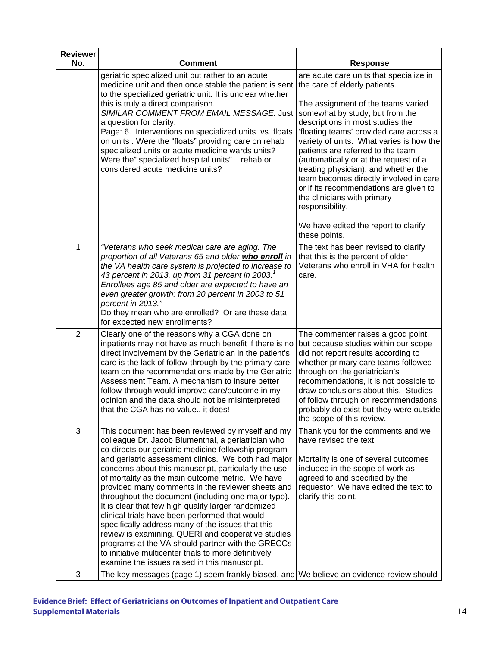| <b>Reviewer</b> |                                                                                                                                                                                                                                                                                                                                                                                                                                                                                                                                                                                                                                                                                                                                                                                                                                  |                                                                                                                                                                                                                                                                                                                                                                                                                                                                                                                                                                                  |
|-----------------|----------------------------------------------------------------------------------------------------------------------------------------------------------------------------------------------------------------------------------------------------------------------------------------------------------------------------------------------------------------------------------------------------------------------------------------------------------------------------------------------------------------------------------------------------------------------------------------------------------------------------------------------------------------------------------------------------------------------------------------------------------------------------------------------------------------------------------|----------------------------------------------------------------------------------------------------------------------------------------------------------------------------------------------------------------------------------------------------------------------------------------------------------------------------------------------------------------------------------------------------------------------------------------------------------------------------------------------------------------------------------------------------------------------------------|
| No.             | <b>Comment</b>                                                                                                                                                                                                                                                                                                                                                                                                                                                                                                                                                                                                                                                                                                                                                                                                                   | <b>Response</b>                                                                                                                                                                                                                                                                                                                                                                                                                                                                                                                                                                  |
|                 | geriatric specialized unit but rather to an acute<br>medicine unit and then once stable the patient is sent<br>to the specialized geriatric unit. It is unclear whether<br>this is truly a direct comparison.<br>SIMILAR COMMENT FROM EMAIL MESSAGE: Just<br>a question for clarity:<br>Page: 6. Interventions on specialized units vs. floats<br>on units. Were the "floats" providing care on rehab<br>specialized units or acute medicine wards units?<br>Were the" specialized hospital units"<br>rehab or<br>considered acute medicine units?                                                                                                                                                                                                                                                                               | are acute care units that specialize in<br>the care of elderly patients.<br>The assignment of the teams varied<br>somewhat by study, but from the<br>descriptions in most studies the<br>'floating teams' provided care across a<br>variety of units. What varies is how the<br>patients are referred to the team<br>(automatically or at the request of a<br>treating physician), and whether the<br>team becomes directly involved in care<br>or if its recommendations are given to<br>the clinicians with primary<br>responsibility.<br>We have edited the report to clarify |
|                 |                                                                                                                                                                                                                                                                                                                                                                                                                                                                                                                                                                                                                                                                                                                                                                                                                                  | these points.                                                                                                                                                                                                                                                                                                                                                                                                                                                                                                                                                                    |
| 1               | "Veterans who seek medical care are aging. The<br>proportion of all Veterans 65 and older who enroll in<br>the VA health care system is projected to increase to<br>43 percent in 2013, up from 31 percent in 2003. $^{\prime}$<br>Enrollees age 85 and older are expected to have an<br>even greater growth: from 20 percent in 2003 to 51<br>percent in 2013."<br>Do they mean who are enrolled? Or are these data<br>for expected new enrollments?                                                                                                                                                                                                                                                                                                                                                                            | The text has been revised to clarify<br>that this is the percent of older<br>Veterans who enroll in VHA for health<br>care.                                                                                                                                                                                                                                                                                                                                                                                                                                                      |
| $\overline{2}$  | Clearly one of the reasons why a CGA done on<br>inpatients may not have as much benefit if there is no<br>direct involvement by the Geriatrician in the patient's<br>care is the lack of follow-through by the primary care<br>team on the recommendations made by the Geriatric<br>Assessment Team. A mechanism to insure better<br>follow-through would improve care/outcome in my<br>opinion and the data should not be misinterpreted<br>that the CGA has no value it does!                                                                                                                                                                                                                                                                                                                                                  | The commenter raises a good point,<br>but because studies within our scope<br>did not report results according to<br>whether primary care teams followed<br>through on the geriatrician's<br>recommendations, it is not possible to<br>draw conclusions about this. Studies<br>of follow through on recommendations<br>probably do exist but they were outside<br>the scope of this review.                                                                                                                                                                                      |
| 3               | This document has been reviewed by myself and my<br>colleague Dr. Jacob Blumenthal, a geriatrician who<br>co-directs our geriatric medicine fellowship program<br>and geriatric assessment clinics. We both had major<br>concerns about this manuscript, particularly the use<br>of mortality as the main outcome metric. We have<br>provided many comments in the reviewer sheets and<br>throughout the document (including one major typo).<br>It is clear that few high quality larger randomized<br>clinical trials have been performed that would<br>specifically address many of the issues that this<br>review is examining. QUERI and cooperative studies<br>programs at the VA should partner with the GRECCs<br>to initiative multicenter trials to more definitively<br>examine the issues raised in this manuscript. | Thank you for the comments and we<br>have revised the text.<br>Mortality is one of several outcomes<br>included in the scope of work as<br>agreed to and specified by the<br>requestor. We have edited the text to<br>clarify this point.                                                                                                                                                                                                                                                                                                                                        |
| 3               | The key messages (page 1) seem frankly biased, and We believe an evidence review should                                                                                                                                                                                                                                                                                                                                                                                                                                                                                                                                                                                                                                                                                                                                          |                                                                                                                                                                                                                                                                                                                                                                                                                                                                                                                                                                                  |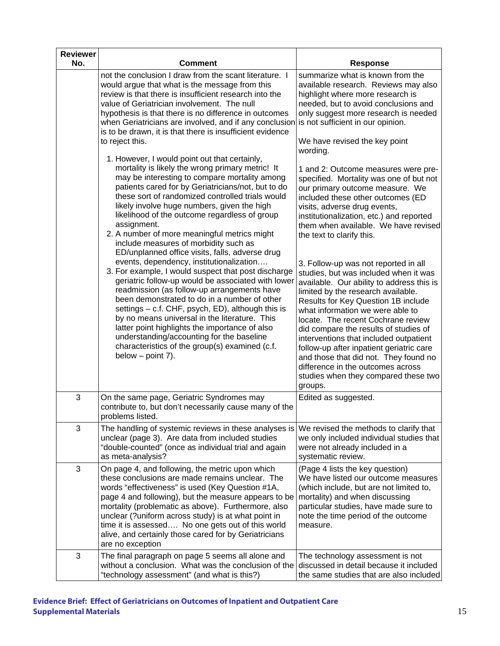| <b>Reviewer</b><br>No. | Comment                                                                                                                                                                                                                                                                                                                                                                                                                                                                                                                                                                                                                                                                                                                                                                                                                                                                                                                                                                                                                                                       | <b>Response</b>                                                                                                                                                                                                                                                                                                                                                                                                                                                                                                                                                                                                                                                                                                                                                                                                                                               |
|------------------------|---------------------------------------------------------------------------------------------------------------------------------------------------------------------------------------------------------------------------------------------------------------------------------------------------------------------------------------------------------------------------------------------------------------------------------------------------------------------------------------------------------------------------------------------------------------------------------------------------------------------------------------------------------------------------------------------------------------------------------------------------------------------------------------------------------------------------------------------------------------------------------------------------------------------------------------------------------------------------------------------------------------------------------------------------------------|---------------------------------------------------------------------------------------------------------------------------------------------------------------------------------------------------------------------------------------------------------------------------------------------------------------------------------------------------------------------------------------------------------------------------------------------------------------------------------------------------------------------------------------------------------------------------------------------------------------------------------------------------------------------------------------------------------------------------------------------------------------------------------------------------------------------------------------------------------------|
|                        | not the conclusion I draw from the scant literature. I<br>would argue that what is the message from this<br>review is that there is insufficient research into the<br>value of Geriatrician involvement. The null<br>hypothesis is that there is no difference in outcomes<br>when Geriatricians are involved, and if any conclusion<br>is to be drawn, it is that there is insufficient evidence<br>to reject this.                                                                                                                                                                                                                                                                                                                                                                                                                                                                                                                                                                                                                                          | summarize what is known from the<br>available research. Reviews may also<br>highlight where more research is<br>needed, but to avoid conclusions and<br>only suggest more research is needed<br>is not sufficient in our opinion.<br>We have revised the key point                                                                                                                                                                                                                                                                                                                                                                                                                                                                                                                                                                                            |
|                        | 1. However, I would point out that certainly,<br>mortality is likely the wrong primary metric! It<br>may be interesting to compare mortality among<br>patients cared for by Geriatricians/not, but to do<br>these sort of randomized controlled trials would<br>likely involve huge numbers, given the high<br>likelihood of the outcome regardless of group<br>assignment.<br>2. A number of more meaningful metrics might<br>include measures of morbidity such as<br>ED/unplanned office visits, falls, adverse drug<br>events, dependency, institutionalization<br>3. For example, I would suspect that post discharge<br>geriatric follow-up would be associated with lower<br>readmission (as follow-up arrangements have<br>been demonstrated to do in a number of other<br>settings - c.f. CHF, psych, ED), although this is<br>by no means universal in the literature. This<br>latter point highlights the importance of also<br>understanding/accounting for the baseline<br>characteristics of the group(s) examined (c.f.<br>below $-$ point 7). | wording.<br>1 and 2: Outcome measures were pre-<br>specified. Mortality was one of but not<br>our primary outcome measure. We<br>included these other outcomes (ED<br>visits, adverse drug events,<br>institutionalization, etc.) and reported<br>them when available. We have revised<br>the text to clarify this.<br>3. Follow-up was not reported in all<br>studies, but was included when it was<br>available. Our ability to address this is<br>limited by the research available.<br>Results for Key Question 1B include<br>what information we were able to<br>locate. The recent Cochrane review<br>did compare the results of studies of<br>interventions that included outpatient<br>follow-up after inpatient geriatric care<br>and those that did not. They found no<br>difference in the outcomes across<br>studies when they compared these two |
| 3                      | On the same page, Geriatric Syndromes may<br>contribute to, but don't necessarily cause many of the                                                                                                                                                                                                                                                                                                                                                                                                                                                                                                                                                                                                                                                                                                                                                                                                                                                                                                                                                           | groups.<br>Edited as suggested.                                                                                                                                                                                                                                                                                                                                                                                                                                                                                                                                                                                                                                                                                                                                                                                                                               |
| 3                      | problems listed.<br>The handling of systemic reviews in these analyses is<br>unclear (page 3). Are data from included studies<br>"double-counted" (once as individual trial and again<br>as meta-analysis?                                                                                                                                                                                                                                                                                                                                                                                                                                                                                                                                                                                                                                                                                                                                                                                                                                                    | We revised the methods to clarify that<br>we only included individual studies that<br>were not already included in a<br>systematic review.                                                                                                                                                                                                                                                                                                                                                                                                                                                                                                                                                                                                                                                                                                                    |
| 3                      | On page 4, and following, the metric upon which<br>these conclusions are made remains unclear. The<br>words "effectiveness" is used (Key Question #1A,<br>page 4 and following), but the measure appears to be<br>mortality (problematic as above). Furthermore, also<br>unclear (?uniform across study) is at what point in<br>time it is assessed No one gets out of this world<br>alive, and certainly those cared for by Geriatricians<br>are no exception                                                                                                                                                                                                                                                                                                                                                                                                                                                                                                                                                                                                | (Page 4 lists the key question)<br>We have listed our outcome measures<br>(which include, but are not limited to,<br>mortality) and when discussing<br>particular studies, have made sure to<br>note the time period of the outcome<br>measure.                                                                                                                                                                                                                                                                                                                                                                                                                                                                                                                                                                                                               |
| 3                      | The final paragraph on page 5 seems all alone and<br>without a conclusion. What was the conclusion of the<br>"technology assessment" (and what is this?)                                                                                                                                                                                                                                                                                                                                                                                                                                                                                                                                                                                                                                                                                                                                                                                                                                                                                                      | The technology assessment is not<br>discussed in detail because it included<br>the same studies that are also included                                                                                                                                                                                                                                                                                                                                                                                                                                                                                                                                                                                                                                                                                                                                        |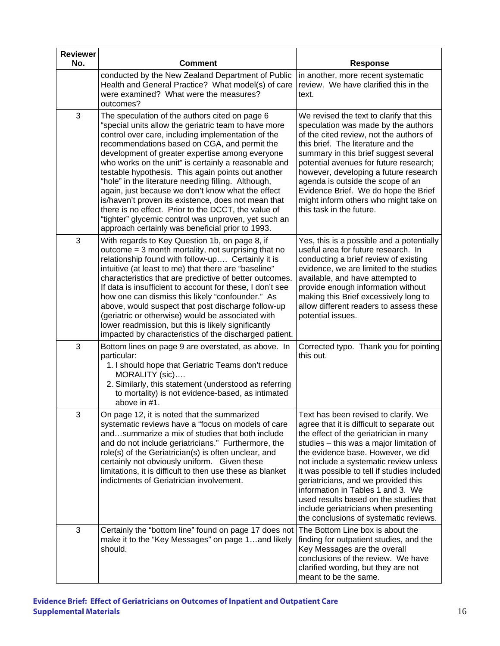| <b>Reviewer</b><br>No. | <b>Comment</b>                                                                                                                                                                                                                                                                                                                                                                                                                                                                                                                                                                                                                                                                                                      | <b>Response</b>                                                                                                                                                                                                                                                                                                                                                                                                                                                                                                  |
|------------------------|---------------------------------------------------------------------------------------------------------------------------------------------------------------------------------------------------------------------------------------------------------------------------------------------------------------------------------------------------------------------------------------------------------------------------------------------------------------------------------------------------------------------------------------------------------------------------------------------------------------------------------------------------------------------------------------------------------------------|------------------------------------------------------------------------------------------------------------------------------------------------------------------------------------------------------------------------------------------------------------------------------------------------------------------------------------------------------------------------------------------------------------------------------------------------------------------------------------------------------------------|
|                        | conducted by the New Zealand Department of Public<br>Health and General Practice? What model(s) of care<br>were examined? What were the measures?<br>outcomes?                                                                                                                                                                                                                                                                                                                                                                                                                                                                                                                                                      | in another, more recent systematic<br>review. We have clarified this in the<br>text.                                                                                                                                                                                                                                                                                                                                                                                                                             |
| 3                      | The speculation of the authors cited on page 6<br>"special units allow the geriatric team to have more<br>control over care, including implementation of the<br>recommendations based on CGA, and permit the<br>development of greater expertise among everyone<br>who works on the unit" is certainly a reasonable and<br>testable hypothesis. This again points out another<br>"hole" in the literature needing filling. Although,<br>again, just because we don't know what the effect<br>is/haven't proven its existence, does not mean that<br>there is no effect. Prior to the DCCT, the value of<br>"tighter" glycemic control was unproven, yet such an<br>approach certainly was beneficial prior to 1993. | We revised the text to clarify that this<br>speculation was made by the authors<br>of the cited review, not the authors of<br>this brief. The literature and the<br>summary in this brief suggest several<br>potential avenues for future research;<br>however, developing a future research<br>agenda is outside the scope of an<br>Evidence Brief. We do hope the Brief<br>might inform others who might take on<br>this task in the future.                                                                   |
| 3                      | With regards to Key Question 1b, on page 8, if<br>outcome $=$ 3 month mortality, not surprising that no<br>relationship found with follow-up Certainly it is<br>intuitive (at least to me) that there are "baseline"<br>characteristics that are predictive of better outcomes.<br>If data is insufficient to account for these, I don't see<br>how one can dismiss this likely "confounder." As<br>above, would suspect that post discharge follow-up<br>(geriatric or otherwise) would be associated with<br>lower readmission, but this is likely significantly<br>impacted by characteristics of the discharged patient.                                                                                        | Yes, this is a possible and a potentially<br>useful area for future research. In<br>conducting a brief review of existing<br>evidence, we are limited to the studies<br>available, and have attempted to<br>provide enough information without<br>making this Brief excessively long to<br>allow different readers to assess these<br>potential issues.                                                                                                                                                          |
| 3                      | Bottom lines on page 9 are overstated, as above. In<br>particular:<br>1. I should hope that Geriatric Teams don't reduce<br>MORALITY (sic)<br>2. Similarly, this statement (understood as referring<br>to mortality) is not evidence-based, as intimated<br>above in #1.                                                                                                                                                                                                                                                                                                                                                                                                                                            | Corrected typo. Thank you for pointing<br>this out.                                                                                                                                                                                                                                                                                                                                                                                                                                                              |
| З                      | On page 12, it is noted that the summarized<br>systematic reviews have a "focus on models of care<br>andsummarize a mix of studies that both include<br>and do not include geriatricians." Furthermore, the<br>role(s) of the Geriatrician(s) is often unclear, and<br>certainly not obviously uniform. Given these<br>limitations, it is difficult to then use these as blanket<br>indictments of Geriatrician involvement.                                                                                                                                                                                                                                                                                        | Text has been revised to clarify. We<br>agree that it is difficult to separate out<br>the effect of the geriatrician in many<br>studies - this was a major limitation of<br>the evidence base. However, we did<br>not include a systematic review unless<br>it was possible to tell if studies included<br>geriatricians, and we provided this<br>information in Tables 1 and 3. We<br>used results based on the studies that<br>include geriatricians when presenting<br>the conclusions of systematic reviews. |
| 3                      | Certainly the "bottom line" found on page 17 does not<br>make it to the "Key Messages" on page 1and likely<br>should.                                                                                                                                                                                                                                                                                                                                                                                                                                                                                                                                                                                               | The Bottom Line box is about the<br>finding for outpatient studies, and the<br>Key Messages are the overall<br>conclusions of the review. We have<br>clarified wording, but they are not<br>meant to be the same.                                                                                                                                                                                                                                                                                                |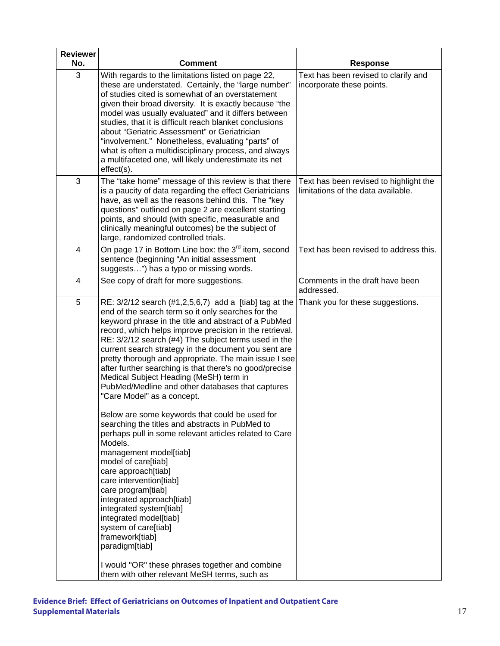| <b>Reviewer</b><br>No. | <b>Comment</b>                                                                                                                                                                                                                                                                                                                                                                                                                                                                                                                                                                                                                                                                                                                                                                                                                                                                                                                                                                                                                                                                                                                                       | <b>Response</b>                                                              |
|------------------------|------------------------------------------------------------------------------------------------------------------------------------------------------------------------------------------------------------------------------------------------------------------------------------------------------------------------------------------------------------------------------------------------------------------------------------------------------------------------------------------------------------------------------------------------------------------------------------------------------------------------------------------------------------------------------------------------------------------------------------------------------------------------------------------------------------------------------------------------------------------------------------------------------------------------------------------------------------------------------------------------------------------------------------------------------------------------------------------------------------------------------------------------------|------------------------------------------------------------------------------|
| 3                      | With regards to the limitations listed on page 22,<br>these are understated. Certainly, the "large number"<br>of studies cited is somewhat of an overstatement<br>given their broad diversity. It is exactly because "the<br>model was usually evaluated" and it differs between<br>studies, that it is difficult reach blanket conclusions<br>about "Geriatric Assessment" or Geriatrician<br>"involvement." Nonetheless, evaluating "parts" of<br>what is often a multidisciplinary process, and always<br>a multifaceted one, will likely underestimate its net<br>effect(s).                                                                                                                                                                                                                                                                                                                                                                                                                                                                                                                                                                     | Text has been revised to clarify and<br>incorporate these points.            |
| 3                      | The "take home" message of this review is that there<br>is a paucity of data regarding the effect Geriatricians<br>have, as well as the reasons behind this. The "key<br>questions" outlined on page 2 are excellent starting<br>points, and should (with specific, measurable and<br>clinically meaningful outcomes) be the subject of<br>large, randomized controlled trials.                                                                                                                                                                                                                                                                                                                                                                                                                                                                                                                                                                                                                                                                                                                                                                      | Text has been revised to highlight the<br>limitations of the data available. |
| 4                      | On page 17 in Bottom Line box: the 3 <sup>rd</sup> item, second<br>sentence (beginning "An initial assessment<br>suggests") has a typo or missing words.                                                                                                                                                                                                                                                                                                                                                                                                                                                                                                                                                                                                                                                                                                                                                                                                                                                                                                                                                                                             | Text has been revised to address this.                                       |
| 4                      | See copy of draft for more suggestions.                                                                                                                                                                                                                                                                                                                                                                                                                                                                                                                                                                                                                                                                                                                                                                                                                                                                                                                                                                                                                                                                                                              | Comments in the draft have been<br>addressed.                                |
| 5                      | RE: 3/2/12 search (#1,2,5,6,7) add a [tiab] tag at the<br>end of the search term so it only searches for the<br>keyword phrase in the title and abstract of a PubMed<br>record, which helps improve precision in the retrieval.<br>RE: 3/2/12 search (#4) The subject terms used in the<br>current search strategy in the document you sent are<br>pretty thorough and appropriate. The main issue I see<br>after further searching is that there's no good/precise<br>Medical Subject Heading (MeSH) term in<br>PubMed/Medline and other databases that captures<br>"Care Model" as a concept.<br>Below are some keywords that could be used for<br>searching the titles and abstracts in PubMed to<br>perhaps pull in some relevant articles related to Care<br>Models.<br>management model[tiab]<br>model of care[tiab]<br>care approach[tiab]<br>care intervention[tiab]<br>care program[tiab]<br>integrated approach[tiab]<br>integrated system[tiab]<br>integrated model[tiab]<br>system of care[tiab]<br>framework[tiab]<br>paradigm[tiab]<br>I would "OR" these phrases together and combine<br>them with other relevant MeSH terms, such as | Thank you for these suggestions.                                             |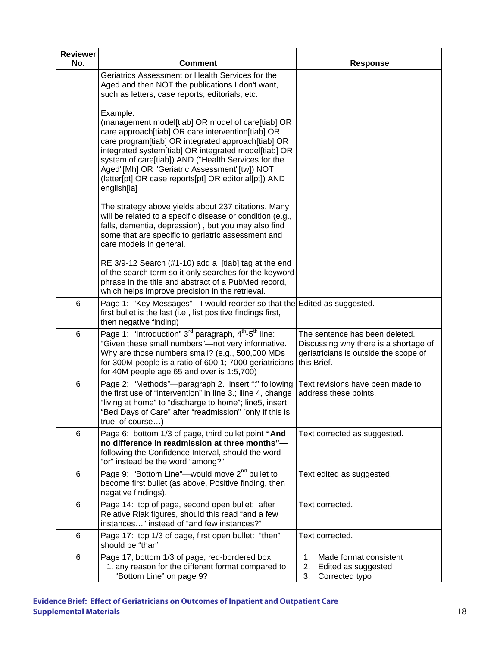| <b>Reviewer</b><br>No. | <b>Comment</b>                                                                                                                                                                                                                                                                                                                                                                                                  | <b>Response</b>                                                                                                                 |
|------------------------|-----------------------------------------------------------------------------------------------------------------------------------------------------------------------------------------------------------------------------------------------------------------------------------------------------------------------------------------------------------------------------------------------------------------|---------------------------------------------------------------------------------------------------------------------------------|
|                        | Geriatrics Assessment or Health Services for the<br>Aged and then NOT the publications I don't want,<br>such as letters, case reports, editorials, etc.                                                                                                                                                                                                                                                         |                                                                                                                                 |
|                        | Example:<br>(management model[tiab] OR model of care[tiab] OR<br>care approach[tiab] OR care intervention[tiab] OR<br>care program[tiab] OR integrated approach[tiab] OR<br>integrated system[tiab] OR integrated model[tiab] OR<br>system of care[tiab]) AND ("Health Services for the<br>Aged"[Mh] OR "Geriatric Assessment"[tw]) NOT<br>(letter[pt] OR case reports[pt] OR editorial[pt]) AND<br>english[la] |                                                                                                                                 |
|                        | The strategy above yields about 237 citations. Many<br>will be related to a specific disease or condition (e.g.,<br>falls, dementia, depression), but you may also find<br>some that are specific to geriatric assessment and<br>care models in general.                                                                                                                                                        |                                                                                                                                 |
|                        | RE $3/9-12$ Search (#1-10) add a [tiab] tag at the end<br>of the search term so it only searches for the keyword<br>phrase in the title and abstract of a PubMed record,<br>which helps improve precision in the retrieval.                                                                                                                                                                                     |                                                                                                                                 |
| 6                      | Page 1: "Key Messages"—I would reorder so that the Edited as suggested.<br>first bullet is the last (i.e., list positive findings first,<br>then negative finding)                                                                                                                                                                                                                                              |                                                                                                                                 |
| 6                      | Page 1: "Introduction" $3^{rd}$ paragraph, $4^{th}$ - $5^{th}$ line:<br>"Given these small numbers"-not very informative.<br>Why are those numbers small? (e.g., 500,000 MDs<br>for 300M people is a ratio of 600:1; 7000 geriatricians<br>for 40M people age 65 and over is 1:5,700)                                                                                                                           | The sentence has been deleted.<br>Discussing why there is a shortage of<br>geriatricians is outside the scope of<br>this Brief. |
| 6                      | Page 2: "Methods"-paragraph 2. insert ":" following<br>the first use of "intervention" in line 3.; Iline 4, change<br>"living at home" to "discharge to home"; line5, insert<br>"Bed Days of Care" after "readmission" [only if this is<br>true, of course)                                                                                                                                                     | Text revisions have been made to<br>address these points.                                                                       |
| 6                      | Page 6: bottom 1/3 of page, third bullet point "And<br>no difference in readmission at three months"-<br>following the Confidence Interval, should the word<br>"or" instead be the word "among?"                                                                                                                                                                                                                | Text corrected as suggested.                                                                                                    |
| 6                      | Page 9: "Bottom Line"—would move 2 <sup>nd</sup> bullet to<br>become first bullet (as above, Positive finding, then<br>negative findings).                                                                                                                                                                                                                                                                      | Text edited as suggested.                                                                                                       |
| 6                      | Page 14: top of page, second open bullet: after<br>Relative Riak figures, should this read "and a few<br>instances" instead of "and few instances?"                                                                                                                                                                                                                                                             | Text corrected.                                                                                                                 |
| 6                      | Page 17: top 1/3 of page, first open bullet: "then"<br>should be "than"                                                                                                                                                                                                                                                                                                                                         | Text corrected.                                                                                                                 |
| 6                      | Page 17, bottom 1/3 of page, red-bordered box:<br>1. any reason for the different format compared to<br>"Bottom Line" on page 9?                                                                                                                                                                                                                                                                                | 1.<br>Made format consistent<br>2.<br>Edited as suggested<br>3.<br>Corrected typo                                               |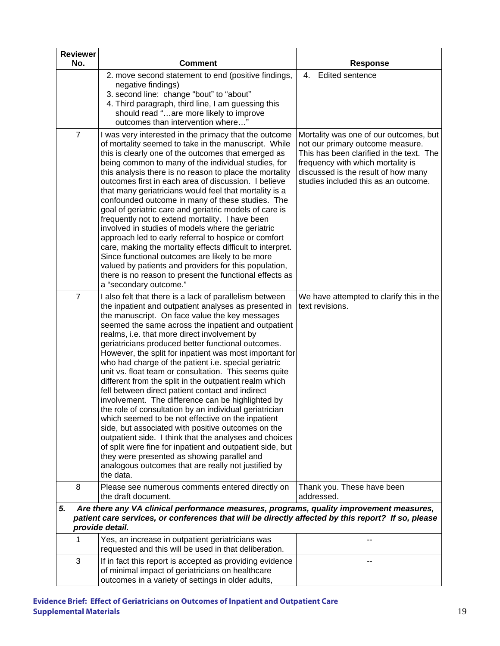| <b>Reviewer</b><br>No. | Comment                                                                                                                                                                                                                                                                                                                                                                                                                                                                                                                                                                                                                                                                                                                                                                                                                                                                                                                                                                                                                                                                                       |                                                                                                                                                                                                  |
|------------------------|-----------------------------------------------------------------------------------------------------------------------------------------------------------------------------------------------------------------------------------------------------------------------------------------------------------------------------------------------------------------------------------------------------------------------------------------------------------------------------------------------------------------------------------------------------------------------------------------------------------------------------------------------------------------------------------------------------------------------------------------------------------------------------------------------------------------------------------------------------------------------------------------------------------------------------------------------------------------------------------------------------------------------------------------------------------------------------------------------|--------------------------------------------------------------------------------------------------------------------------------------------------------------------------------------------------|
|                        |                                                                                                                                                                                                                                                                                                                                                                                                                                                                                                                                                                                                                                                                                                                                                                                                                                                                                                                                                                                                                                                                                               | <b>Response</b>                                                                                                                                                                                  |
|                        | 2. move second statement to end (positive findings,<br>negative findings)<br>3. second line: change "bout" to "about"<br>4. Third paragraph, third line, I am guessing this<br>should read "are more likely to improve<br>outcomes than intervention where"                                                                                                                                                                                                                                                                                                                                                                                                                                                                                                                                                                                                                                                                                                                                                                                                                                   | 4.<br><b>Edited sentence</b>                                                                                                                                                                     |
| $\overline{7}$         | I was very interested in the primacy that the outcome                                                                                                                                                                                                                                                                                                                                                                                                                                                                                                                                                                                                                                                                                                                                                                                                                                                                                                                                                                                                                                         | Mortality was one of our outcomes, but                                                                                                                                                           |
|                        | of mortality seemed to take in the manuscript. While<br>this is clearly one of the outcomes that emerged as<br>being common to many of the individual studies, for<br>this analysis there is no reason to place the mortality<br>outcomes first in each area of discussion. I believe<br>that many geriatricians would feel that mortality is a<br>confounded outcome in many of these studies. The<br>goal of geriatric care and geriatric models of care is<br>frequently not to extend mortality. I have been<br>involved in studies of models where the geriatric<br>approach led to early referral to hospice or comfort<br>care, making the mortality effects difficult to interpret.<br>Since functional outcomes are likely to be more<br>valued by patients and providers for this population,<br>there is no reason to present the functional effects as                                                                                                                                                                                                                            | not our primary outcome measure.<br>This has been clarified in the text. The<br>frequency with which mortality is<br>discussed is the result of how many<br>studies included this as an outcome. |
|                        | a "secondary outcome."                                                                                                                                                                                                                                                                                                                                                                                                                                                                                                                                                                                                                                                                                                                                                                                                                                                                                                                                                                                                                                                                        |                                                                                                                                                                                                  |
| $\overline{7}$         | I also felt that there is a lack of parallelism between<br>the inpatient and outpatient analyses as presented in<br>the manuscript. On face value the key messages<br>seemed the same across the inpatient and outpatient<br>realms, i.e. that more direct involvement by<br>geriatricians produced better functional outcomes.<br>However, the split for inpatient was most important for<br>who had charge of the patient i.e. special geriatric<br>unit vs. float team or consultation. This seems quite<br>different from the split in the outpatient realm which<br>fell between direct patient contact and indirect<br>involvement. The difference can be highlighted by<br>the role of consultation by an individual geriatrician<br>which seemed to be not effective on the inpatient<br>side, but associated with positive outcomes on the<br>outpatient side. I think that the analyses and choices<br>of split were fine for inpatient and outpatient side, but<br>they were presented as showing parallel and<br>analogous outcomes that are really not justified by<br>the data. | We have attempted to clarify this in the<br>text revisions.                                                                                                                                      |
| 8                      | Please see numerous comments entered directly on<br>the draft document.                                                                                                                                                                                                                                                                                                                                                                                                                                                                                                                                                                                                                                                                                                                                                                                                                                                                                                                                                                                                                       | Thank you. These have been<br>addressed.                                                                                                                                                         |
| 5.                     | Are there any VA clinical performance measures, programs, quality improvement measures,<br>patient care services, or conferences that will be directly affected by this report? If so, please<br>provide detail.                                                                                                                                                                                                                                                                                                                                                                                                                                                                                                                                                                                                                                                                                                                                                                                                                                                                              |                                                                                                                                                                                                  |
| 1                      | Yes, an increase in outpatient geriatricians was<br>requested and this will be used in that deliberation.                                                                                                                                                                                                                                                                                                                                                                                                                                                                                                                                                                                                                                                                                                                                                                                                                                                                                                                                                                                     |                                                                                                                                                                                                  |
| 3                      | If in fact this report is accepted as providing evidence<br>of minimal impact of geriatricians on healthcare<br>outcomes in a variety of settings in older adults,                                                                                                                                                                                                                                                                                                                                                                                                                                                                                                                                                                                                                                                                                                                                                                                                                                                                                                                            |                                                                                                                                                                                                  |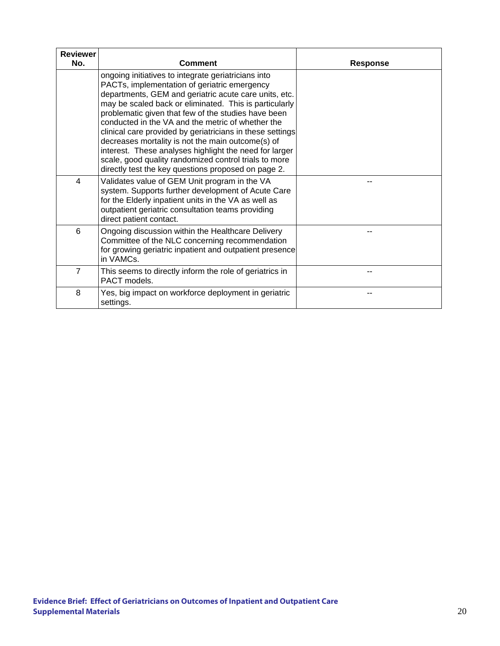| <b>Reviewer</b> |                                                                                                                                                                                                                                                                                                                                                                                                                                                                                                                                                                                                                                |                 |
|-----------------|--------------------------------------------------------------------------------------------------------------------------------------------------------------------------------------------------------------------------------------------------------------------------------------------------------------------------------------------------------------------------------------------------------------------------------------------------------------------------------------------------------------------------------------------------------------------------------------------------------------------------------|-----------------|
| No.             | Comment                                                                                                                                                                                                                                                                                                                                                                                                                                                                                                                                                                                                                        | <b>Response</b> |
|                 | ongoing initiatives to integrate geriatricians into<br>PACTs, implementation of geriatric emergency<br>departments, GEM and geriatric acute care units, etc.<br>may be scaled back or eliminated. This is particularly<br>problematic given that few of the studies have been<br>conducted in the VA and the metric of whether the<br>clinical care provided by geriatricians in these settings<br>decreases mortality is not the main outcome(s) of<br>interest. These analyses highlight the need for larger<br>scale, good quality randomized control trials to more<br>directly test the key questions proposed on page 2. |                 |
| 4               | Validates value of GEM Unit program in the VA<br>system. Supports further development of Acute Care<br>for the Elderly inpatient units in the VA as well as<br>outpatient geriatric consultation teams providing<br>direct patient contact.                                                                                                                                                                                                                                                                                                                                                                                    |                 |
| 6               | Ongoing discussion within the Healthcare Delivery<br>Committee of the NLC concerning recommendation<br>for growing geriatric inpatient and outpatient presence<br>in VAMCs.                                                                                                                                                                                                                                                                                                                                                                                                                                                    |                 |
| $\overline{7}$  | This seems to directly inform the role of geriatrics in<br>PACT models.                                                                                                                                                                                                                                                                                                                                                                                                                                                                                                                                                        |                 |
| 8               | Yes, big impact on workforce deployment in geriatric<br>settings.                                                                                                                                                                                                                                                                                                                                                                                                                                                                                                                                                              |                 |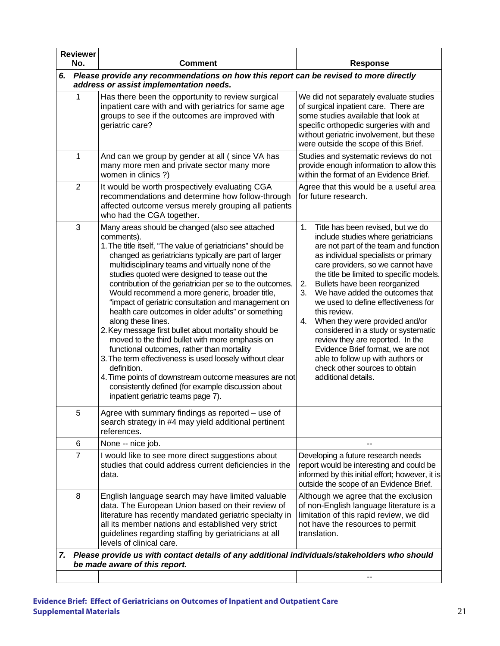| <b>Reviewer</b><br>No. |                | <b>Comment</b>                                                                                                                                                                                                                                                                                                                                                                                                                                                                                                                                                                                                                                                                                                                                                                                                                                                                                                                        | <b>Response</b>                                                                                                                                                                                                                                                                                                                                                                                                                                                                                                                                                                                                                              |  |
|------------------------|----------------|---------------------------------------------------------------------------------------------------------------------------------------------------------------------------------------------------------------------------------------------------------------------------------------------------------------------------------------------------------------------------------------------------------------------------------------------------------------------------------------------------------------------------------------------------------------------------------------------------------------------------------------------------------------------------------------------------------------------------------------------------------------------------------------------------------------------------------------------------------------------------------------------------------------------------------------|----------------------------------------------------------------------------------------------------------------------------------------------------------------------------------------------------------------------------------------------------------------------------------------------------------------------------------------------------------------------------------------------------------------------------------------------------------------------------------------------------------------------------------------------------------------------------------------------------------------------------------------------|--|
| 6.                     |                | Please provide any recommendations on how this report can be revised to more directly<br>address or assist implementation needs.                                                                                                                                                                                                                                                                                                                                                                                                                                                                                                                                                                                                                                                                                                                                                                                                      |                                                                                                                                                                                                                                                                                                                                                                                                                                                                                                                                                                                                                                              |  |
|                        | 1              | Has there been the opportunity to review surgical<br>inpatient care with and with geriatrics for same age<br>groups to see if the outcomes are improved with<br>geriatric care?                                                                                                                                                                                                                                                                                                                                                                                                                                                                                                                                                                                                                                                                                                                                                       | We did not separately evaluate studies<br>of surgical inpatient care. There are<br>some studies available that look at<br>specific orthopedic surgeries with and<br>without geriatric involvement, but these<br>were outside the scope of this Brief.                                                                                                                                                                                                                                                                                                                                                                                        |  |
|                        | 1              | And can we group by gender at all (since VA has<br>many more men and private sector many more<br>women in clinics ?)                                                                                                                                                                                                                                                                                                                                                                                                                                                                                                                                                                                                                                                                                                                                                                                                                  | Studies and systematic reviews do not<br>provide enough information to allow this<br>within the format of an Evidence Brief.                                                                                                                                                                                                                                                                                                                                                                                                                                                                                                                 |  |
|                        | $\overline{2}$ | It would be worth prospectively evaluating CGA<br>recommendations and determine how follow-through<br>affected outcome versus merely grouping all patients<br>who had the CGA together.                                                                                                                                                                                                                                                                                                                                                                                                                                                                                                                                                                                                                                                                                                                                               | Agree that this would be a useful area<br>for future research.                                                                                                                                                                                                                                                                                                                                                                                                                                                                                                                                                                               |  |
|                        | 3              | Many areas should be changed (also see attached<br>comments).<br>1. The title itself, "The value of geriatricians" should be<br>changed as geriatricians typically are part of larger<br>multidisciplinary teams and virtually none of the<br>studies quoted were designed to tease out the<br>contribution of the geriatrician per se to the outcomes.<br>Would recommend a more generic, broader title,<br>"impact of geriatric consultation and management on<br>health care outcomes in older adults" or something<br>along these lines.<br>2. Key message first bullet about mortality should be<br>moved to the third bullet with more emphasis on<br>functional outcomes, rather than mortality<br>3. The term effectiveness is used loosely without clear<br>definition.<br>4. Time points of downstream outcome measures are not<br>consistently defined (for example discussion about<br>inpatient geriatric teams page 7). | 1.<br>Title has been revised, but we do<br>include studies where geriatricians<br>are not part of the team and function<br>as individual specialists or primary<br>care providers, so we cannot have<br>the title be limited to specific models.<br>Bullets have been reorganized<br>2.<br>We have added the outcomes that<br>3.<br>we used to define effectiveness for<br>this review.<br>When they were provided and/or<br>4.<br>considered in a study or systematic<br>review they are reported. In the<br>Evidence Brief format, we are not<br>able to follow up with authors or<br>check other sources to obtain<br>additional details. |  |
|                        | 5              | Agree with summary findings as reported - use of<br>search strategy in #4 may yield additional pertinent<br>references.                                                                                                                                                                                                                                                                                                                                                                                                                                                                                                                                                                                                                                                                                                                                                                                                               |                                                                                                                                                                                                                                                                                                                                                                                                                                                                                                                                                                                                                                              |  |
|                        | 6              | None -- nice job.                                                                                                                                                                                                                                                                                                                                                                                                                                                                                                                                                                                                                                                                                                                                                                                                                                                                                                                     |                                                                                                                                                                                                                                                                                                                                                                                                                                                                                                                                                                                                                                              |  |
|                        | $\overline{7}$ | I would like to see more direct suggestions about<br>studies that could address current deficiencies in the<br>data.                                                                                                                                                                                                                                                                                                                                                                                                                                                                                                                                                                                                                                                                                                                                                                                                                  | Developing a future research needs<br>report would be interesting and could be<br>informed by this initial effort; however, it is<br>outside the scope of an Evidence Brief.                                                                                                                                                                                                                                                                                                                                                                                                                                                                 |  |
|                        | 8              | English language search may have limited valuable<br>data. The European Union based on their review of<br>literature has recently mandated geriatric specialty in<br>all its member nations and established very strict<br>guidelines regarding staffing by geriatricians at all<br>levels of clinical care.                                                                                                                                                                                                                                                                                                                                                                                                                                                                                                                                                                                                                          | Although we agree that the exclusion<br>of non-English language literature is a<br>limitation of this rapid review, we did<br>not have the resources to permit<br>translation.                                                                                                                                                                                                                                                                                                                                                                                                                                                               |  |
| 7.                     |                | Please provide us with contact details of any additional individuals/stakeholders who should<br>be made aware of this report.                                                                                                                                                                                                                                                                                                                                                                                                                                                                                                                                                                                                                                                                                                                                                                                                         |                                                                                                                                                                                                                                                                                                                                                                                                                                                                                                                                                                                                                                              |  |
|                        |                |                                                                                                                                                                                                                                                                                                                                                                                                                                                                                                                                                                                                                                                                                                                                                                                                                                                                                                                                       |                                                                                                                                                                                                                                                                                                                                                                                                                                                                                                                                                                                                                                              |  |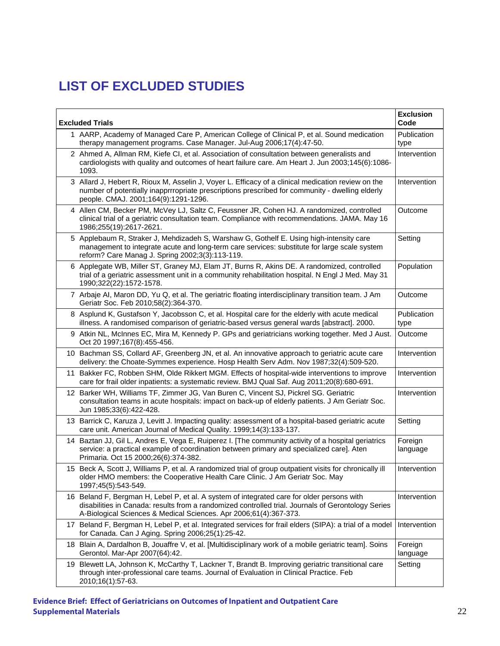# **LIST OF EXCLUDED STUDIES**

| <b>Excluded Trials</b> |                                                                                                                                                                                                                                                                       |                     |
|------------------------|-----------------------------------------------------------------------------------------------------------------------------------------------------------------------------------------------------------------------------------------------------------------------|---------------------|
|                        | 1 AARP, Academy of Managed Care P, American College of Clinical P, et al. Sound medication<br>therapy management programs. Case Manager. Jul-Aug 2006;17(4):47-50.                                                                                                    | Publication<br>type |
|                        | 2 Ahmed A, Allman RM, Kiefe CI, et al. Association of consultation between generalists and<br>cardiologists with quality and outcomes of heart failure care. Am Heart J. Jun 2003;145(6):1086-<br>1093.                                                               | Intervention        |
|                        | 3 Allard J, Hebert R, Rioux M, Asselin J, Voyer L. Efficacy of a clinical medication review on the<br>number of potentially inapprrropriate prescriptions prescribed for community - dwelling elderly<br>people. CMAJ. 2001;164(9):1291-1296.                         | Intervention        |
|                        | 4 Allen CM, Becker PM, McVey LJ, Saltz C, Feussner JR, Cohen HJ. A randomized, controlled<br>clinical trial of a geriatric consultation team. Compliance with recommendations. JAMA. May 16<br>1986;255(19):2617-2621.                                                | Outcome             |
|                        | 5 Applebaum R, Straker J, Mehdizadeh S, Warshaw G, Gothelf E. Using high-intensity care<br>management to integrate acute and long-term care services: substitute for large scale system<br>reform? Care Manag J. Spring 2002;3(3):113-119.                            | Setting             |
|                        | 6 Applegate WB, Miller ST, Graney MJ, Elam JT, Burns R, Akins DE. A randomized, controlled<br>trial of a geriatric assessment unit in a community rehabilitation hospital. N Engl J Med. May 31<br>1990;322(22):1572-1578.                                            | Population          |
|                        | 7 Arbaje AI, Maron DD, Yu Q, et al. The geriatric floating interdisciplinary transition team. J Am<br>Geriatr Soc. Feb 2010;58(2):364-370.                                                                                                                            | Outcome             |
|                        | 8 Asplund K, Gustafson Y, Jacobsson C, et al. Hospital care for the elderly with acute medical<br>illness. A randomised comparison of geriatric-based versus general wards [abstract]. 2000.                                                                          | Publication<br>type |
|                        | 9 Atkin NL, McInnes EC, Mira M, Kennedy P. GPs and geriatricians working together. Med J Aust.<br>Oct 20 1997;167(8):455-456.                                                                                                                                         | Outcome             |
|                        | 10 Bachman SS, Collard AF, Greenberg JN, et al. An innovative approach to geriatric acute care<br>delivery: the Choate-Symmes experience. Hosp Health Serv Adm. Nov 1987;32(4):509-520.                                                                               | Intervention        |
|                        | 11 Bakker FC, Robben SHM, Olde Rikkert MGM. Effects of hospital-wide interventions to improve<br>care for frail older inpatients: a systematic review. BMJ Qual Saf. Aug 2011;20(8):680-691.                                                                          | Intervention        |
|                        | 12 Barker WH, Williams TF, Zimmer JG, Van Buren C, Vincent SJ, Pickrel SG. Geriatric<br>consultation teams in acute hospitals: impact on back-up of elderly patients. J Am Geriatr Soc.<br>Jun 1985;33(6):422-428.                                                    | Intervention        |
|                        | 13 Barrick C, Karuza J, Levitt J. Impacting quality: assessment of a hospital-based geriatric acute<br>care unit. American Journal of Medical Quality. 1999;14(3):133-137.                                                                                            | Setting             |
|                        | 14 Baztan JJ, Gil L, Andres E, Vega E, Ruiperez I. [The community activity of a hospital geriatrics<br>service: a practical example of coordination between primary and specialized care]. Aten<br>Primaria. Oct 15 2000;26(6):374-382.                               | Foreign<br>language |
|                        | 15 Beck A, Scott J, Williams P, et al. A randomized trial of group outpatient visits for chronically ill<br>older HMO members: the Cooperative Health Care Clinic. J Am Geriatr Soc. May<br>1997;45(5):543-549.                                                       | Intervention        |
|                        | 16 Beland F, Bergman H, Lebel P, et al. A system of integrated care for older persons with<br>disabilities in Canada: results from a randomized controlled trial. Journals of Gerontology Series<br>A-Biological Sciences & Medical Sciences. Apr 2006;61(4):367-373. | Intervention        |
|                        | 17 Beland F, Bergman H, Lebel P, et al. Integrated services for frail elders (SIPA): a trial of a model<br>for Canada. Can J Aging. Spring 2006;25(1):25-42.                                                                                                          | Intervention        |
|                        | 18 Blain A, Dardalhon B, Jouaffre V, et al. [Multidisciplinary work of a mobile geriatric team]. Soins<br>Gerontol. Mar-Apr 2007(64):42.                                                                                                                              | Foreign<br>language |
|                        | 19 Blewett LA, Johnson K, McCarthy T, Lackner T, Brandt B. Improving geriatric transitional care<br>through inter-professional care teams. Journal of Evaluation in Clinical Practice. Feb<br>2010;16(1):57-63.                                                       | Setting             |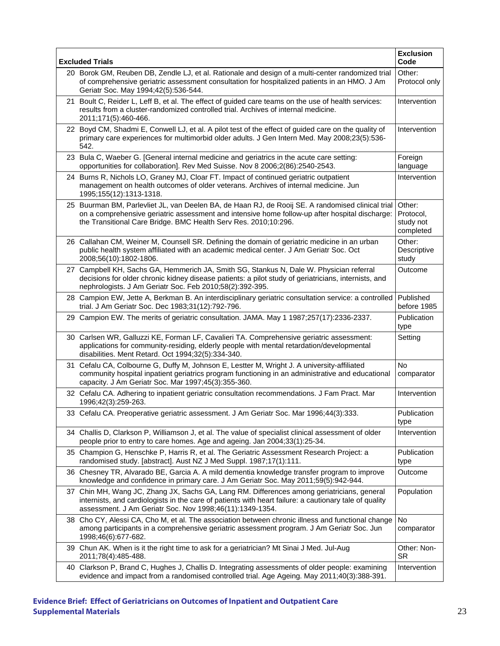| <b>Excluded Trials</b>                                                                                                                                                                                                                                                 | <b>Exclusion</b><br>Code                      |
|------------------------------------------------------------------------------------------------------------------------------------------------------------------------------------------------------------------------------------------------------------------------|-----------------------------------------------|
| 20 Borok GM, Reuben DB, Zendle LJ, et al. Rationale and design of a multi-center randomized trial<br>of comprehensive geriatric assessment consultation for hospitalized patients in an HMO. J Am<br>Geriatr Soc. May 1994;42(5):536-544.                              | Other:<br>Protocol only                       |
| 21 Boult C, Reider L, Leff B, et al. The effect of guided care teams on the use of health services:<br>results from a cluster-randomized controlled trial. Archives of internal medicine.<br>2011;171(5):460-466.                                                      | Intervention                                  |
| 22 Boyd CM, Shadmi E, Conwell LJ, et al. A pilot test of the effect of guided care on the quality of<br>primary care experiences for multimorbid older adults. J Gen Intern Med. May 2008;23(5):536-<br>542.                                                           | Intervention                                  |
| 23 Bula C, Waeber G. [General internal medicine and geriatrics in the acute care setting:<br>opportunities for collaboration]. Rev Med Suisse. Nov 8 2006;2(86):2540-2543.                                                                                             | Foreign<br>language                           |
| 24 Burns R, Nichols LO, Graney MJ, Cloar FT. Impact of continued geriatric outpatient<br>management on health outcomes of older veterans. Archives of internal medicine. Jun<br>1995;155(12):1313-1318.                                                                | Intervention                                  |
| 25 Buurman BM, Parlevliet JL, van Deelen BA, de Haan RJ, de Rooij SE. A randomised clinical trial<br>on a comprehensive geriatric assessment and intensive home follow-up after hospital discharge:<br>the Transitional Care Bridge. BMC Health Serv Res. 2010;10:296. | Other:<br>Protocol,<br>study not<br>completed |
| 26 Callahan CM, Weiner M, Counsell SR. Defining the domain of geriatric medicine in an urban<br>public health system affiliated with an academic medical center. J Am Geriatr Soc. Oct<br>2008;56(10):1802-1806.                                                       | Other:<br>Descriptive<br>study                |
| 27 Campbell KH, Sachs GA, Hemmerich JA, Smith SG, Stankus N, Dale W. Physician referral<br>decisions for older chronic kidney disease patients: a pilot study of geriatricians, internists, and<br>nephrologists. J Am Geriatr Soc. Feb 2010;58(2):392-395.            | Outcome                                       |
| 28 Campion EW, Jette A, Berkman B. An interdisciplinary geriatric consultation service: a controlled<br>trial. J Am Geriatr Soc. Dec 1983;31(12):792-796.                                                                                                              | Published<br>before 1985                      |
| 29 Campion EW. The merits of geriatric consultation. JAMA. May 1 1987;257(17):2336-2337.                                                                                                                                                                               | Publication<br>type                           |
| 30 Carlsen WR, Galluzzi KE, Forman LF, Cavalieri TA. Comprehensive geriatric assessment:<br>applications for community-residing, elderly people with mental retardation/developmental<br>disabilities. Ment Retard. Oct 1994;32(5):334-340.                            | Setting                                       |
| 31 Cefalu CA, Colbourne G, Duffy M, Johnson E, Lestter M, Wright J. A university-affiliated<br>community hospital inpatient geriatrics program functioning in an administrative and educational<br>capacity. J Am Geriatr Soc. Mar 1997;45(3):355-360.                 | No<br>comparator                              |
| 32 Cefalu CA. Adhering to inpatient geriatric consultation recommendations. J Fam Pract. Mar<br>1996;42(3):259-263.                                                                                                                                                    | Intervention                                  |
| 33 Cefalu CA. Preoperative geriatric assessment. J Am Geriatr Soc. Mar 1996;44(3):333.                                                                                                                                                                                 | Publication<br>type                           |
| 34 Challis D, Clarkson P, Williamson J, et al. The value of specialist clinical assessment of older<br>people prior to entry to care homes. Age and ageing. Jan 2004;33(1):25-34.                                                                                      | Intervention                                  |
| 35 Champion G, Henschke P, Harris R, et al. The Geriatric Assessment Research Project: a<br>randomised study. [abstract]. Aust NZ J Med Suppl. 1987;17(1):111.                                                                                                         | Publication<br>type                           |
| 36 Chesney TR, Alvarado BE, Garcia A. A mild dementia knowledge transfer program to improve<br>knowledge and confidence in primary care. J Am Geriatr Soc. May 2011;59(5):942-944.                                                                                     | Outcome                                       |
| 37 Chin MH, Wang JC, Zhang JX, Sachs GA, Lang RM. Differences among geriatricians, general<br>internists, and cardiologists in the care of patients with heart failure: a cautionary tale of quality<br>assessment. J Am Geriatr Soc. Nov 1998;46(11):1349-1354.       | Population                                    |
| 38 Cho CY, Alessi CA, Cho M, et al. The association between chronic illness and functional change<br>among participants in a comprehensive geriatric assessment program. J Am Geriatr Soc. Jun<br>1998;46(6):677-682.                                                  | No<br>comparator                              |
| 39 Chun AK. When is it the right time to ask for a geriatrician? Mt Sinai J Med. Jul-Aug<br>2011;78(4):485-488.                                                                                                                                                        | Other: Non-<br><b>SR</b>                      |
| 40 Clarkson P, Brand C, Hughes J, Challis D. Integrating assessments of older people: examining<br>evidence and impact from a randomised controlled trial. Age Ageing. May 2011;40(3):388-391.                                                                         | Intervention                                  |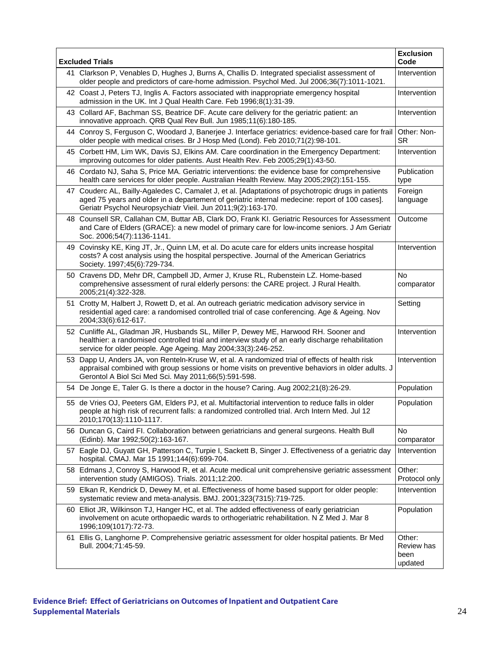|    | <b>Excluded Trials</b>                                                                                                                                                                                                                                               | <b>Exclusion</b><br>Code                |
|----|----------------------------------------------------------------------------------------------------------------------------------------------------------------------------------------------------------------------------------------------------------------------|-----------------------------------------|
|    | 41 Clarkson P, Venables D, Hughes J, Burns A, Challis D. Integrated specialist assessment of<br>older people and predictors of care-home admission. Psychol Med. Jul 2006;36(7):1011-1021.                                                                           | Intervention                            |
|    | 42 Coast J, Peters TJ, Inglis A. Factors associated with inappropriate emergency hospital<br>admission in the UK. Int J Qual Health Care. Feb 1996;8(1):31-39.                                                                                                       | Intervention                            |
|    | 43 Collard AF, Bachman SS, Beatrice DF. Acute care delivery for the geriatric patient: an<br>innovative approach. QRB Qual Rev Bull. Jun 1985;11(6):180-185.                                                                                                         | Intervention                            |
|    | 44 Conroy S, Ferguson C, Woodard J, Banerjee J. Interface geriatrics: evidence-based care for frail<br>older people with medical crises. Br J Hosp Med (Lond). Feb 2010;71(2):98-101.                                                                                | Other: Non-<br>SR.                      |
|    | 45 Corbett HM, Lim WK, Davis SJ, Elkins AM. Care coordination in the Emergency Department:<br>improving outcomes for older patients. Aust Health Rev. Feb 2005;29(1):43-50.                                                                                          | Intervention                            |
|    | 46 Cordato NJ, Saha S, Price MA. Geriatric interventions: the evidence base for comprehensive<br>health care services for older people. Australian Health Review. May 2005;29(2):151-155.                                                                            | Publication<br>type                     |
|    | 47 Couderc AL, Bailly-Agaledes C, Camalet J, et al. [Adaptations of psychotropic drugs in patients<br>aged 75 years and older in a departement of geriatric internal medecine: report of 100 cases].<br>Geriatr Psychol Neuropsychiatr Vieil. Jun 2011;9(2):163-170. | Foreign<br>language                     |
|    | 48 Counsell SR, Callahan CM, Buttar AB, Clark DO, Frank KI. Geriatric Resources for Assessment<br>and Care of Elders (GRACE): a new model of primary care for low-income seniors. J Am Geriatr<br>Soc. 2006;54(7):1136-1141.                                         | Outcome                                 |
|    | 49 Covinsky KE, King JT, Jr., Quinn LM, et al. Do acute care for elders units increase hospital<br>costs? A cost analysis using the hospital perspective. Journal of the American Geriatrics<br>Society. 1997;45(6):729-734.                                         | Intervention                            |
|    | 50 Cravens DD, Mehr DR, Campbell JD, Armer J, Kruse RL, Rubenstein LZ. Home-based<br>comprehensive assessment of rural elderly persons: the CARE project. J Rural Health.<br>2005;21(4):322-328.                                                                     | <b>No</b><br>comparator                 |
|    | 51 Crotty M, Halbert J, Rowett D, et al. An outreach geriatric medication advisory service in<br>residential aged care: a randomised controlled trial of case conferencing. Age & Ageing. Nov<br>2004;33(6):612-617.                                                 | Setting                                 |
|    | 52 Cunliffe AL, Gladman JR, Husbands SL, Miller P, Dewey ME, Harwood RH. Sooner and<br>healthier: a randomised controlled trial and interview study of an early discharge rehabilitation<br>service for older people. Age Ageing. May 2004;33(3):246-252.            | Intervention                            |
|    | 53 Dapp U, Anders JA, von Renteln-Kruse W, et al. A randomized trial of effects of health risk<br>appraisal combined with group sessions or home visits on preventive behaviors in older adults. J<br>Gerontol A Biol Sci Med Sci. May 2011;66(5):591-598.           | Intervention                            |
|    | 54 De Jonge E, Taler G. Is there a doctor in the house? Caring. Aug 2002;21(8):26-29.                                                                                                                                                                                | Population                              |
|    | 55 de Vries OJ, Peeters GM, Elders PJ, et al. Multifactorial intervention to reduce falls in older<br>people at high risk of recurrent falls: a randomized controlled trial. Arch Intern Med. Jul 12<br>2010;170(13):1110-1117.                                      | Population                              |
|    | 56 Duncan G, Caird FI. Collaboration between geriatricians and general surgeons. Health Bull<br>(Edinb). Mar 1992;50(2):163-167.                                                                                                                                     | No<br>comparator                        |
| 57 | Eagle DJ, Guyatt GH, Patterson C, Turpie I, Sackett B, Singer J. Effectiveness of a geriatric day<br>hospital. CMAJ. Mar 15 1991;144(6):699-704.                                                                                                                     | Intervention                            |
|    | 58 Edmans J, Conroy S, Harwood R, et al. Acute medical unit comprehensive geriatric assessment<br>intervention study (AMIGOS). Trials. 2011;12:200.                                                                                                                  | Other:<br>Protocol only                 |
|    | 59 Elkan R, Kendrick D, Dewey M, et al. Effectiveness of home based support for older people:<br>systematic review and meta-analysis. BMJ. 2001;323(7315):719-725.                                                                                                   | Intervention                            |
|    | 60 Elliot JR, Wilkinson TJ, Hanger HC, et al. The added effectiveness of early geriatrician<br>involvement on acute orthopaedic wards to orthogeriatric rehabilitation. N Z Med J. Mar 8<br>1996;109(1017):72-73.                                                    | Population                              |
|    | 61 Ellis G, Langhorne P. Comprehensive geriatric assessment for older hospital patients. Br Med<br>Bull. 2004;71:45-59.                                                                                                                                              | Other:<br>Review has<br>been<br>updated |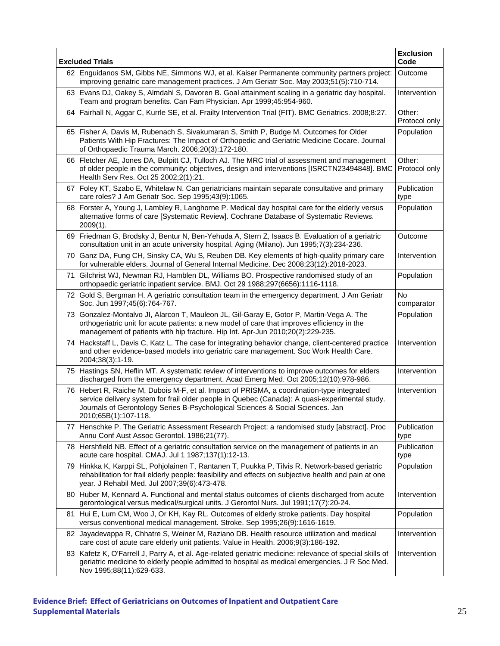| <b>Excluded Trials</b>                                                                                                                                                                                                                                                                                 | <b>Exclusion</b><br>Code |
|--------------------------------------------------------------------------------------------------------------------------------------------------------------------------------------------------------------------------------------------------------------------------------------------------------|--------------------------|
| 62 Enguidanos SM, Gibbs NE, Simmons WJ, et al. Kaiser Permanente community partners project:<br>improving geriatric care management practices. J Am Geriatr Soc. May 2003;51(5):710-714.                                                                                                               | Outcome                  |
| 63 Evans DJ, Oakey S, Almdahl S, Davoren B. Goal attainment scaling in a geriatric day hospital.<br>Team and program benefits. Can Fam Physician. Apr 1999;45:954-960.                                                                                                                                 | Intervention             |
| 64 Fairhall N, Aggar C, Kurrle SE, et al. Frailty Intervention Trial (FIT). BMC Geriatrics. 2008;8:27.                                                                                                                                                                                                 | Other:<br>Protocol only  |
| 65 Fisher A, Davis M, Rubenach S, Sivakumaran S, Smith P, Budge M. Outcomes for Older<br>Patients With Hip Fractures: The Impact of Orthopedic and Geriatric Medicine Cocare. Journal<br>of Orthopaedic Trauma March. 2006;20(3):172-180.                                                              | Population               |
| 66 Fletcher AE, Jones DA, Bulpitt CJ, Tulloch AJ. The MRC trial of assessment and management<br>of older people in the community: objectives, design and interventions [ISRCTN23494848]. BMC<br>Health Serv Res. Oct 25 2002;2(1):21.                                                                  | Other:<br>Protocol only  |
| 67 Foley KT, Szabo E, Whitelaw N. Can geriatricians maintain separate consultative and primary<br>care roles? J Am Geriatr Soc. Sep 1995;43(9):1065.                                                                                                                                                   | Publication<br>type      |
| 68 Forster A, Young J, Lambley R, Langhorne P. Medical day hospital care for the elderly versus<br>alternative forms of care [Systematic Review]. Cochrane Database of Systematic Reviews.<br>$2009(1)$ .                                                                                              | Population               |
| 69 Friedman G, Brodsky J, Bentur N, Ben-Yehuda A, Stern Z, Isaacs B. Evaluation of a geriatric<br>consultation unit in an acute university hospital. Aging (Milano). Jun 1995;7(3):234-236.                                                                                                            | Outcome                  |
| 70 Ganz DA, Fung CH, Sinsky CA, Wu S, Reuben DB. Key elements of high-quality primary care<br>for vulnerable elders. Journal of General Internal Medicine. Dec 2008;23(12):2018-2023.                                                                                                                  | Intervention             |
| 71 Gilchrist WJ, Newman RJ, Hamblen DL, Williams BO. Prospective randomised study of an<br>orthopaedic geriatric inpatient service. BMJ. Oct 29 1988;297(6656):1116-1118.                                                                                                                              | Population               |
| 72 Gold S, Bergman H. A geriatric consultation team in the emergency department. J Am Geriatr<br>Soc. Jun 1997;45(6):764-767.                                                                                                                                                                          | <b>No</b><br>comparator  |
| 73 Gonzalez-Montalvo JI, Alarcon T, Mauleon JL, Gil-Garay E, Gotor P, Martin-Vega A. The<br>orthogeriatric unit for acute patients: a new model of care that improves efficiency in the<br>management of patients with hip fracture. Hip Int. Apr-Jun 2010;20(2):229-235.                              | Population               |
| 74 Hackstaff L, Davis C, Katz L. The case for integrating behavior change, client-centered practice<br>and other evidence-based models into geriatric care management. Soc Work Health Care.<br>2004;38(3):1-19.                                                                                       | Intervention             |
| 75 Hastings SN, Heflin MT. A systematic review of interventions to improve outcomes for elders<br>discharged from the emergency department. Acad Emerg Med. Oct 2005;12(10):978-986.                                                                                                                   | Intervention             |
| 76 Hebert R, Raiche M, Dubois M-F, et al. Impact of PRISMA, a coordination-type integrated<br>service delivery system for frail older people in Quebec (Canada): A quasi-experimental study.<br>Journals of Gerontology Series B-Psychological Sciences & Social Sciences. Jan<br>2010;65B(1):107-118. | Intervention             |
| 77 Henschke P. The Geriatric Assessment Research Project: a randomised study [abstract]. Proc<br>Annu Conf Aust Assoc Gerontol. 1986;21(77).                                                                                                                                                           | Publication<br>type      |
| 78 Hershfield NB. Effect of a geriatric consultation service on the management of patients in an<br>acute care hospital. CMAJ. Jul 1 1987;137(1):12-13.                                                                                                                                                | Publication<br>type      |
| 79 Hinkka K, Karppi SL, Pohjolainen T, Rantanen T, Puukka P, Tilvis R. Network-based geriatric<br>rehabilitation for frail elderly people: feasibility and effects on subjective health and pain at one<br>year. J Rehabil Med. Jul 2007;39(6):473-478.                                                | Population               |
| 80 Huber M, Kennard A. Functional and mental status outcomes of clients discharged from acute<br>gerontological versus medical/surgical units. J Gerontol Nurs. Jul 1991;17(7):20-24.                                                                                                                  | Intervention             |
| 81 Hui E, Lum CM, Woo J, Or KH, Kay RL. Outcomes of elderly stroke patients. Day hospital<br>versus conventional medical management. Stroke. Sep 1995;26(9):1616-1619.                                                                                                                                 | Population               |
| 82 Jayadevappa R, Chhatre S, Weiner M, Raziano DB. Health resource utilization and medical<br>care cost of acute care elderly unit patients. Value in Health. 2006;9(3):186-192.                                                                                                                       | Intervention             |
| 83 Kafetz K, O'Farrell J, Parry A, et al. Age-related geriatric medicine: relevance of special skills of<br>geriatric medicine to elderly people admitted to hospital as medical emergencies. J R Soc Med.<br>Nov 1995;88(11):629-633.                                                                 | Intervention             |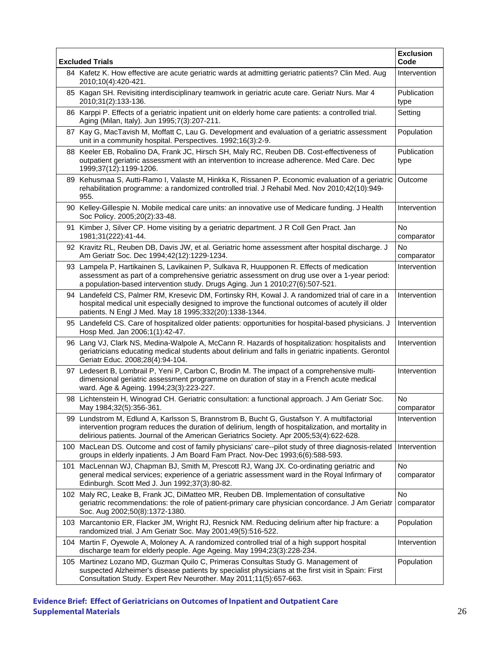| <b>Excluded Trials</b> |                                                                                                                                                                                                                                                                                             | <b>Exclusion</b><br>Code |
|------------------------|---------------------------------------------------------------------------------------------------------------------------------------------------------------------------------------------------------------------------------------------------------------------------------------------|--------------------------|
|                        | 84 Kafetz K. How effective are acute geriatric wards at admitting geriatric patients? Clin Med. Aug<br>2010;10(4):420-421.                                                                                                                                                                  | Intervention             |
|                        | 85 Kagan SH. Revisiting interdisciplinary teamwork in geriatric acute care. Geriatr Nurs. Mar 4<br>2010;31(2):133-136.                                                                                                                                                                      | Publication<br>type      |
|                        | 86 Karppi P. Effects of a geriatric inpatient unit on elderly home care patients: a controlled trial.<br>Aging (Milan, Italy). Jun 1995;7(3):207-211.                                                                                                                                       | Setting                  |
|                        | 87 Kay G, MacTavish M, Moffatt C, Lau G. Development and evaluation of a geriatric assessment<br>unit in a community hospital. Perspectives. 1992;16(3):2-9.                                                                                                                                | Population               |
|                        | 88 Keeler EB, Robalino DA, Frank JC, Hirsch SH, Maly RC, Reuben DB. Cost-effectiveness of<br>outpatient geriatric assessment with an intervention to increase adherence. Med Care. Dec<br>1999;37(12):1199-1206.                                                                            | Publication<br>type      |
|                        | 89 Kehusmaa S, Autti-Ramo I, Valaste M, Hinkka K, Rissanen P. Economic evaluation of a geriatric<br>rehabilitation programme: a randomized controlled trial. J Rehabil Med. Nov 2010;42(10):949-<br>955.                                                                                    | Outcome                  |
|                        | 90 Kelley-Gillespie N. Mobile medical care units: an innovative use of Medicare funding. J Health<br>Soc Policy. 2005;20(2):33-48.                                                                                                                                                          | Intervention             |
|                        | 91 Kimber J, Silver CP. Home visiting by a geriatric department. J R Coll Gen Pract. Jan<br>1981;31(222):41-44.                                                                                                                                                                             | <b>No</b><br>comparator  |
|                        | 92 Kravitz RL, Reuben DB, Davis JW, et al. Geriatric home assessment after hospital discharge. J<br>Am Geriatr Soc. Dec 1994;42(12):1229-1234.                                                                                                                                              | <b>No</b><br>comparator  |
|                        | 93 Lampela P, Hartikainen S, Lavikainen P, Sulkava R, Huupponen R. Effects of medication<br>assessment as part of a comprehensive geriatric assessment on drug use over a 1-year period:<br>a population-based intervention study. Drugs Aging. Jun 1 2010;27(6):507-521.                   | Intervention             |
|                        | 94 Landefeld CS, Palmer RM, Kresevic DM, Fortinsky RH, Kowal J. A randomized trial of care in a<br>hospital medical unit especially designed to improve the functional outcomes of acutely ill older<br>patients. N Engl J Med. May 18 1995;332(20):1338-1344.                              | Intervention             |
|                        | 95 Landefeld CS. Care of hospitalized older patients: opportunities for hospital-based physicians. J<br>Hosp Med. Jan 2006;1(1):42-47.                                                                                                                                                      | Intervention             |
|                        | 96 Lang VJ, Clark NS, Medina-Walpole A, McCann R. Hazards of hospitalization: hospitalists and<br>geriatricians educating medical students about delirium and falls in geriatric inpatients. Gerontol<br>Geriatr Educ. 2008;28(4):94-104.                                                   | Intervention             |
|                        | 97 Ledesert B, Lombrail P, Yeni P, Carbon C, Brodin M. The impact of a comprehensive multi-<br>dimensional geriatric assessment programme on duration of stay in a French acute medical<br>ward. Age & Ageing. 1994;23(3):223-227.                                                          | Intervention             |
|                        | 98 Lichtenstein H, Winograd CH. Geriatric consultation: a functional approach. J Am Geriatr Soc.<br>May 1984;32(5):356-361.                                                                                                                                                                 | No<br>comparator         |
|                        | 99 Lundstrom M, Edlund A, Karlsson S, Brannstrom B, Bucht G, Gustafson Y. A multifactorial<br>intervention program reduces the duration of delirium, length of hospitalization, and mortality in<br>delirious patients. Journal of the American Geriatrics Society. Apr 2005;53(4):622-628. | Intervention             |
|                        | 100 MacLean DS. Outcome and cost of family physicians' care--pilot study of three diagnosis-related<br>groups in elderly inpatients. J Am Board Fam Pract. Nov-Dec 1993;6(6):588-593.                                                                                                       | Intervention             |
|                        | 101 MacLennan WJ, Chapman BJ, Smith M, Prescott RJ, Wang JX. Co-ordinating geriatric and<br>general medical services; experience of a geriatric assessment ward in the Royal Infirmary of<br>Edinburgh. Scott Med J. Jun 1992;37(3):80-82.                                                  | <b>No</b><br>comparator  |
|                        | 102 Maly RC, Leake B, Frank JC, DiMatteo MR, Reuben DB. Implementation of consultative<br>geriatric recommendations: the role of patient-primary care physician concordance. J Am Geriatr<br>Soc. Aug 2002;50(8):1372-1380.                                                                 | No<br>comparator         |
|                        | 103 Marcantonio ER, Flacker JM, Wright RJ, Resnick NM. Reducing delirium after hip fracture: a<br>randomized trial. J Am Geriatr Soc. May 2001;49(5):516-522.                                                                                                                               | Population               |
|                        | 104 Martin F, Oyewole A, Moloney A. A randomized controlled trial of a high support hospital<br>discharge team for elderly people. Age Ageing. May 1994;23(3):228-234.                                                                                                                      | Intervention             |
|                        | 105 Martinez Lozano MD, Guzman Quilo C, Primeras Consultas Study G. Management of<br>suspected Alzheimer's disease patients by specialist physicians at the first visit in Spain: First<br>Consultation Study. Expert Rev Neurother. May 2011;11(5):657-663.                                | Population               |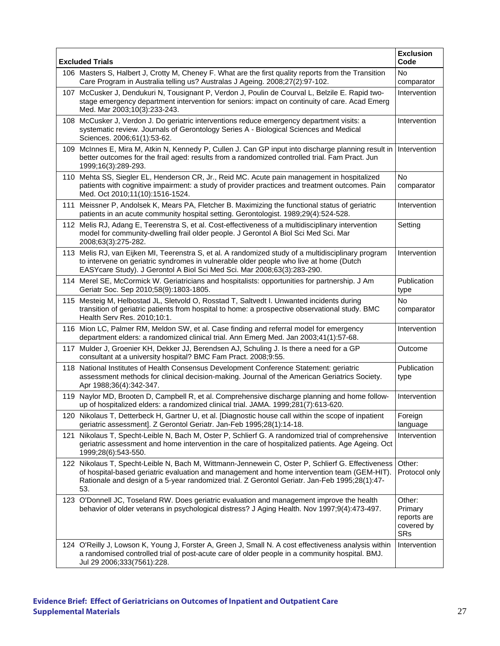| <b>Excluded Trials</b> |                                                                                                                                                                                                                                                                                                          | <b>Exclusion</b><br>Code                                     |
|------------------------|----------------------------------------------------------------------------------------------------------------------------------------------------------------------------------------------------------------------------------------------------------------------------------------------------------|--------------------------------------------------------------|
|                        | 106 Masters S, Halbert J, Crotty M, Cheney F. What are the first quality reports from the Transition<br>Care Program in Australia telling us? Australas J Ageing. 2008;27(2):97-102.                                                                                                                     | No<br>comparator                                             |
| 107                    | McCusker J, Dendukuri N, Tousignant P, Verdon J, Poulin de Courval L, Belzile E. Rapid two-<br>stage emergency department intervention for seniors: impact on continuity of care. Acad Emerg<br>Med. Mar 2003;10(3):233-243.                                                                             | Intervention                                                 |
|                        | 108 McCusker J, Verdon J. Do geriatric interventions reduce emergency department visits: a<br>systematic review. Journals of Gerontology Series A - Biological Sciences and Medical<br>Sciences. 2006;61(1):53-62.                                                                                       | Intervention                                                 |
|                        | 109 McInnes E, Mira M, Atkin N, Kennedy P, Cullen J. Can GP input into discharge planning result in<br>better outcomes for the frail aged: results from a randomized controlled trial. Fam Pract. Jun<br>1999;16(3):289-293.                                                                             | Intervention                                                 |
|                        | 110 Mehta SS, Siegler EL, Henderson CR, Jr., Reid MC. Acute pain management in hospitalized<br>patients with cognitive impairment: a study of provider practices and treatment outcomes. Pain<br>Med. Oct 2010;11(10):1516-1524.                                                                         | <b>No</b><br>comparator                                      |
| 111                    | Meissner P, Andolsek K, Mears PA, Fletcher B. Maximizing the functional status of geriatric<br>patients in an acute community hospital setting. Gerontologist. 1989;29(4):524-528.                                                                                                                       | Intervention                                                 |
|                        | 112 Melis RJ, Adang E, Teerenstra S, et al. Cost-effectiveness of a multidisciplinary intervention<br>model for community-dwelling frail older people. J Gerontol A Biol Sci Med Sci. Mar<br>2008;63(3):275-282.                                                                                         | Setting                                                      |
|                        | 113 Melis RJ, van Eijken MI, Teerenstra S, et al. A randomized study of a multidisciplinary program<br>to intervene on geriatric syndromes in vulnerable older people who live at home (Dutch<br>EASYcare Study). J Gerontol A Biol Sci Med Sci. Mar 2008;63(3):283-290.                                 | Intervention                                                 |
|                        | 114 Merel SE, McCormick W. Geriatricians and hospitalists: opportunities for partnership. J Am<br>Geriatr Soc. Sep 2010;58(9):1803-1805.                                                                                                                                                                 | Publication<br>type                                          |
|                        | 115 Mesteig M, Helbostad JL, Sletvold O, Rosstad T, Saltvedt I. Unwanted incidents during<br>transition of geriatric patients from hospital to home: a prospective observational study. BMC<br>Health Serv Res. 2010;10:1.                                                                               | No<br>comparator                                             |
|                        | 116 Mion LC, Palmer RM, Meldon SW, et al. Case finding and referral model for emergency<br>department elders: a randomized clinical trial. Ann Emerg Med. Jan 2003;41(1):57-68.                                                                                                                          | Intervention                                                 |
|                        | 117 Mulder J, Groenier KH, Dekker JJ, Berendsen AJ, Schuling J. Is there a need for a GP<br>consultant at a university hospital? BMC Fam Pract. 2008;9:55.                                                                                                                                               | Outcome                                                      |
|                        | 118 National Institutes of Health Consensus Development Conference Statement: geriatric<br>assessment methods for clinical decision-making. Journal of the American Geriatrics Society.<br>Apr 1988;36(4):342-347.                                                                                       | Publication<br>type                                          |
| 119                    | Naylor MD, Brooten D, Campbell R, et al. Comprehensive discharge planning and home follow-<br>up of hospitalized elders: a randomized clinical trial. JAMA. 1999;281(7):613-620.                                                                                                                         | Intervention                                                 |
|                        | 120 Nikolaus T, Detterbeck H, Gartner U, et al. [Diagnostic house call within the scope of inpatient<br>geriatric assessment]. Z Gerontol Geriatr. Jan-Feb 1995;28(1):14-18.                                                                                                                             | Foreign<br>language                                          |
| 121                    | Nikolaus T, Specht-Leible N, Bach M, Oster P, Schlierf G. A randomized trial of comprehensive<br>geriatric assessment and home intervention in the care of hospitalized patients. Age Ageing. Oct<br>1999;28(6):543-550.                                                                                 | Intervention                                                 |
|                        | 122 Nikolaus T, Specht-Leible N, Bach M, Wittmann-Jennewein C, Oster P, Schlierf G. Effectiveness<br>of hospital-based geriatric evaluation and management and home intervention team (GEM-HIT).<br>Rationale and design of a 5-year randomized trial. Z Gerontol Geriatr. Jan-Feb 1995;28(1):47-<br>53. | Other:<br>Protocol only                                      |
|                        | 123 O'Donnell JC, Toseland RW. Does geriatric evaluation and management improve the health<br>behavior of older veterans in psychological distress? J Aging Health. Nov 1997;9(4):473-497.                                                                                                               | Other:<br>Primary<br>reports are<br>covered by<br><b>SRs</b> |
|                        | 124 O'Reilly J, Lowson K, Young J, Forster A, Green J, Small N. A cost effectiveness analysis within<br>a randomised controlled trial of post-acute care of older people in a community hospital. BMJ.<br>Jul 29 2006;333(7561):228.                                                                     | Intervention                                                 |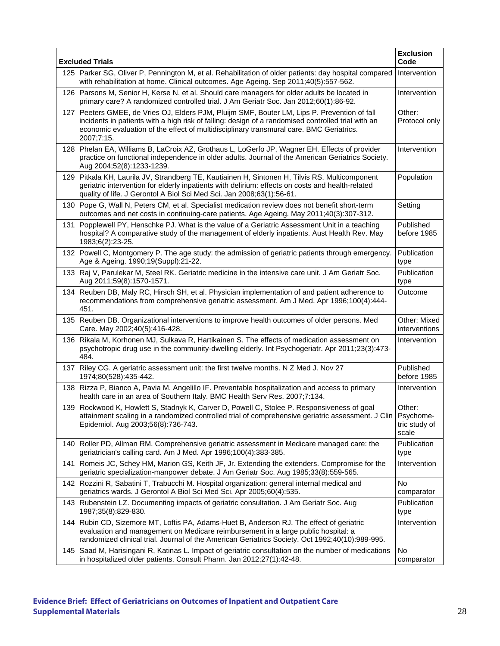| <b>Excluded Trials</b> |                                                                                                                                                                                                                                                                                                         | <b>Exclusion</b><br>Code         |
|------------------------|---------------------------------------------------------------------------------------------------------------------------------------------------------------------------------------------------------------------------------------------------------------------------------------------------------|----------------------------------|
|                        | 125 Parker SG, Oliver P, Pennington M, et al. Rehabilitation of older patients: day hospital compared<br>with rehabilitation at home. Clinical outcomes. Age Ageing. Sep 2011;40(5):557-562.                                                                                                            | Intervention                     |
|                        | 126 Parsons M, Senior H, Kerse N, et al. Should care managers for older adults be located in<br>primary care? A randomized controlled trial. J Am Geriatr Soc. Jan 2012;60(1):86-92.                                                                                                                    | Intervention                     |
| 127 -                  | Peeters GMEE, de Vries OJ, Elders PJM, Pluijm SMF, Bouter LM, Lips P. Prevention of fall<br>incidents in patients with a high risk of falling: design of a randomised controlled trial with an<br>economic evaluation of the effect of multidisciplinary transmural care. BMC Geriatrics.<br>2007;7:15. | Other:<br>Protocol only          |
|                        | 128 Phelan EA, Williams B, LaCroix AZ, Grothaus L, LoGerfo JP, Wagner EH. Effects of provider<br>practice on functional independence in older adults. Journal of the American Geriatrics Society.<br>Aug 2004;52(8):1233-1239.                                                                          | Intervention                     |
|                        | 129 Pitkala KH, Laurila JV, Strandberg TE, Kautiainen H, Sintonen H, Tilvis RS. Multicomponent<br>geriatric intervention for elderly inpatients with delirium: effects on costs and health-related<br>quality of life. J Gerontol A Biol Sci Med Sci. Jan 2008;63(1):56-61.                             | Population                       |
|                        | 130 Pope G, Wall N, Peters CM, et al. Specialist medication review does not benefit short-term<br>outcomes and net costs in continuing-care patients. Age Ageing. May 2011;40(3):307-312.                                                                                                               | Setting                          |
| 131                    | Popplewell PY, Henschke PJ. What is the value of a Geriatric Assessment Unit in a teaching<br>hospital? A comparative study of the management of elderly inpatients. Aust Health Rev. May<br>1983;6(2):23-25.                                                                                           | Published<br>before 1985         |
|                        | 132 Powell C, Montgomery P. The age study: the admission of geriatric patients through emergency.<br>Age & Ageing. 1990;19(Suppl):21-22.                                                                                                                                                                | Publication<br>type              |
|                        | 133 Raj V, Parulekar M, Steel RK. Geriatric medicine in the intensive care unit. J Am Geriatr Soc.<br>Aug 2011;59(8):1570-1571.                                                                                                                                                                         | Publication<br>type              |
|                        | 134 Reuben DB, Maly RC, Hirsch SH, et al. Physician implementation of and patient adherence to<br>recommendations from comprehensive geriatric assessment. Am J Med. Apr 1996;100(4):444-<br>451.                                                                                                       | Outcome                          |
|                        | 135 Reuben DB. Organizational interventions to improve health outcomes of older persons. Med<br>Care. May 2002;40(5):416-428.                                                                                                                                                                           | Other: Mixed<br>interventions    |
|                        | 136 Rikala M, Korhonen MJ, Sulkava R, Hartikainen S. The effects of medication assessment on<br>psychotropic drug use in the community-dwelling elderly. Int Psychogeriatr. Apr 2011;23(3):473-<br>484.                                                                                                 | Intervention                     |
|                        | 137 Riley CG. A geriatric assessment unit: the first twelve months. N Z Med J. Nov 27<br>1974;80(528):435-442.                                                                                                                                                                                          | Published<br>before 1985         |
|                        | 138 Rizza P, Bianco A, Pavia M, Angelillo IF. Preventable hospitalization and access to primary<br>health care in an area of Southern Italy. BMC Health Serv Res. 2007;7:134.                                                                                                                           | Intervention                     |
|                        | 139 Rockwood K, Howlett S, Stadnyk K, Carver D, Powell C, Stolee P. Responsiveness of goal<br>attainment scaling in a randomized controlled trial of comprehensive geriatric assessment. J Clin   Psychome-<br>Epidemiol. Aug 2003;56(8):736-743.                                                       | Other:<br>tric study of<br>scale |
|                        | 140 Roller PD, Allman RM. Comprehensive geriatric assessment in Medicare managed care: the<br>geriatrician's calling card. Am J Med. Apr 1996;100(4):383-385.                                                                                                                                           | Publication<br>type              |
|                        | 141 Romeis JC, Schey HM, Marion GS, Keith JF, Jr. Extending the extenders. Compromise for the<br>geriatric specialization-manpower debate. J Am Geriatr Soc. Aug 1985;33(8):559-565.                                                                                                                    | Intervention                     |
|                        | 142 Rozzini R, Sabatini T, Trabucchi M. Hospital organization: general internal medical and<br>geriatrics wards. J Gerontol A Biol Sci Med Sci. Apr 2005;60(4):535.                                                                                                                                     | No<br>comparator                 |
|                        | 143 Rubenstein LZ. Documenting impacts of geriatric consultation. J Am Geriatr Soc. Aug<br>1987;35(8):829-830.                                                                                                                                                                                          | Publication<br>type              |
|                        | 144 Rubin CD, Sizemore MT, Loftis PA, Adams-Huet B, Anderson RJ. The effect of geriatric<br>evaluation and management on Medicare reimbursement in a large public hospital: a<br>randomized clinical trial. Journal of the American Geriatrics Society. Oct 1992;40(10):989-995.                        | Intervention                     |
|                        | 145 Saad M, Harisingani R, Katinas L. Impact of geriatric consultation on the number of medications<br>in hospitalized older patients. Consult Pharm. Jan 2012;27(1):42-48.                                                                                                                             | No<br>comparator                 |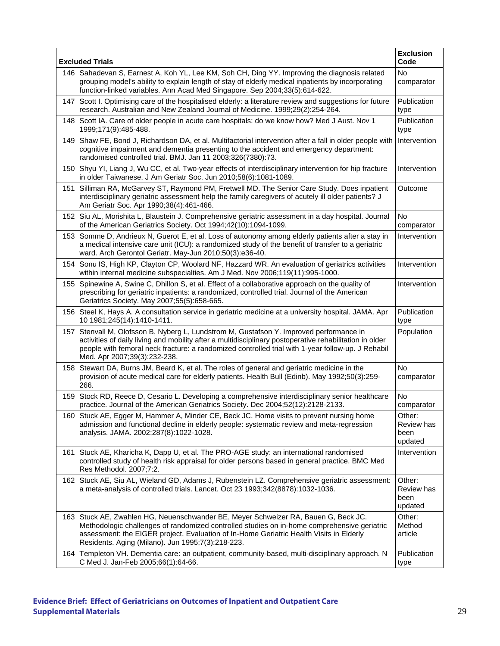| <b>Excluded Trials</b>                                                                                                                                                                                                                                                                                                                  | <b>Exclusion</b><br>Code                |
|-----------------------------------------------------------------------------------------------------------------------------------------------------------------------------------------------------------------------------------------------------------------------------------------------------------------------------------------|-----------------------------------------|
| 146 Sahadevan S, Earnest A, Koh YL, Lee KM, Soh CH, Ding YY. Improving the diagnosis related<br>grouping model's ability to explain length of stay of elderly medical inpatients by incorporating<br>function-linked variables. Ann Acad Med Singapore. Sep 2004;33(5):614-622.                                                         | <b>No</b><br>comparator                 |
| 147 Scott I. Optimising care of the hospitalised elderly: a literature review and suggestions for future<br>research. Australian and New Zealand Journal of Medicine. 1999;29(2):254-264.                                                                                                                                               | Publication<br>type                     |
| 148 Scott IA. Care of older people in acute care hospitals: do we know how? Med J Aust. Nov 1<br>1999;171(9):485-488.                                                                                                                                                                                                                   | Publication<br>type                     |
| 149 Shaw FE, Bond J, Richardson DA, et al. Multifactorial intervention after a fall in older people with<br>cognitive impairment and dementia presenting to the accident and emergency department:<br>randomised controlled trial. BMJ. Jan 11 2003;326(7380):73.                                                                       | Intervention                            |
| 150 Shyu YI, Liang J, Wu CC, et al. Two-year effects of interdisciplinary intervention for hip fracture<br>in older Taiwanese. J Am Geriatr Soc. Jun 2010;58(6):1081-1089.                                                                                                                                                              | Intervention                            |
| 151 Silliman RA, McGarvey ST, Raymond PM, Fretwell MD. The Senior Care Study. Does inpatient<br>interdisciplinary geriatric assessment help the family caregivers of acutely ill older patients? J<br>Am Geriatr Soc. Apr 1990;38(4):461-466.                                                                                           | Outcome                                 |
| 152 Siu AL, Morishita L, Blaustein J. Comprehensive geriatric assessment in a day hospital. Journal<br>of the American Geriatrics Society. Oct 1994;42(10):1094-1099.                                                                                                                                                                   | <b>No</b><br>comparator                 |
| 153 Somme D, Andrieux N, Guerot E, et al. Loss of autonomy among elderly patients after a stay in<br>a medical intensive care unit (ICU): a randomized study of the benefit of transfer to a geriatric<br>ward. Arch Gerontol Geriatr. May-Jun 2010;50(3):e36-40.                                                                       | Intervention                            |
| 154 Sonu IS, High KP, Clayton CP, Woolard NF, Hazzard WR. An evaluation of geriatrics activities<br>within internal medicine subspecialties. Am J Med. Nov 2006;119(11):995-1000.                                                                                                                                                       | Intervention                            |
| 155 Spinewine A, Swine C, Dhillon S, et al. Effect of a collaborative approach on the quality of<br>prescribing for geriatric inpatients: a randomized, controlled trial. Journal of the American<br>Geriatrics Society. May 2007;55(5):658-665.                                                                                        | Intervention                            |
| 156 Steel K, Hays A. A consultation service in geriatric medicine at a university hospital. JAMA. Apr<br>10 1981;245(14):1410-1411.                                                                                                                                                                                                     | Publication<br>type                     |
| 157 Stenvall M, Olofsson B, Nyberg L, Lundstrom M, Gustafson Y. Improved performance in<br>activities of daily living and mobility after a multidisciplinary postoperative rehabilitation in older<br>people with femoral neck fracture: a randomized controlled trial with 1-year follow-up. J Rehabil<br>Med. Apr 2007;39(3):232-238. | Population                              |
| 158 Stewart DA, Burns JM, Beard K, et al. The roles of general and geriatric medicine in the<br>provision of acute medical care for elderly patients. Health Bull (Edinb). May 1992;50(3):259-<br>266.                                                                                                                                  | No.<br>comparator                       |
| 159 Stock RD, Reece D, Cesario L. Developing a comprehensive interdisciplinary senior healthcare<br>practice. Journal of the American Geriatrics Society. Dec 2004;52(12):2128-2133.                                                                                                                                                    | <b>No</b><br>comparator                 |
| 160 Stuck AE, Egger M, Hammer A, Minder CE, Beck JC. Home visits to prevent nursing home<br>admission and functional decline in elderly people: systematic review and meta-regression<br>analysis. JAMA. 2002;287(8):1022-1028.                                                                                                         | Other:<br>Review has<br>been<br>updated |
| 161 Stuck AE, Kharicha K, Dapp U, et al. The PRO-AGE study: an international randomised<br>controlled study of health risk appraisal for older persons based in general practice. BMC Med<br>Res Methodol. 2007;7:2.                                                                                                                    | Intervention                            |
| 162 Stuck AE, Siu AL, Wieland GD, Adams J, Rubenstein LZ. Comprehensive geriatric assessment:<br>a meta-analysis of controlled trials. Lancet. Oct 23 1993;342(8878):1032-1036.                                                                                                                                                         | Other:<br>Review has<br>been<br>updated |
| 163 Stuck AE, Zwahlen HG, Neuenschwander BE, Meyer Schweizer RA, Bauen G, Beck JC.<br>Methodologic challenges of randomized controlled studies on in-home comprehensive geriatric<br>assessment: the EIGER project. Evaluation of In-Home Geriatric Health Visits in Elderly<br>Residents. Aging (Milano). Jun 1995;7(3):218-223.       | Other:<br>Method<br>article             |
| 164 Templeton VH. Dementia care: an outpatient, community-based, multi-disciplinary approach. N<br>C Med J. Jan-Feb 2005;66(1):64-66.                                                                                                                                                                                                   | Publication<br>type                     |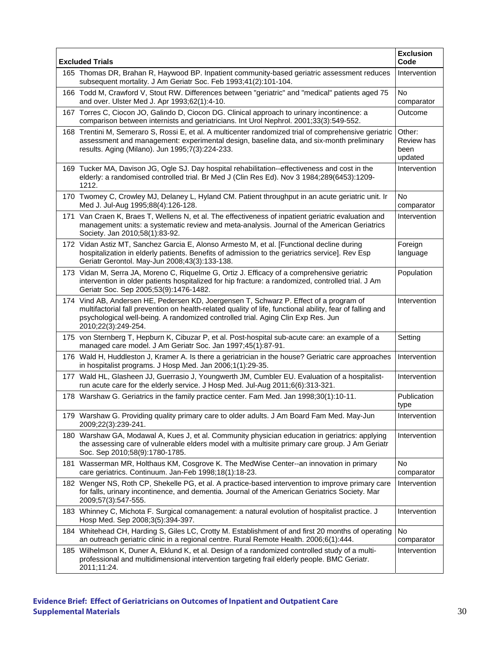| <b>Excluded Trials</b> |                                                                                                                                                                                                                                                                                                            | <b>Exclusion</b><br>Code                |
|------------------------|------------------------------------------------------------------------------------------------------------------------------------------------------------------------------------------------------------------------------------------------------------------------------------------------------------|-----------------------------------------|
|                        | 165 Thomas DR, Brahan R, Haywood BP. Inpatient community-based geriatric assessment reduces<br>subsequent mortality. J Am Geriatr Soc. Feb 1993;41(2):101-104.                                                                                                                                             | Intervention                            |
|                        | 166 Todd M, Crawford V, Stout RW. Differences between "geriatric" and "medical" patients aged 75<br>and over. Ulster Med J. Apr 1993;62(1):4-10.                                                                                                                                                           | <b>No</b><br>comparator                 |
|                        | 167 Torres C, Ciocon JO, Galindo D, Ciocon DG. Clinical approach to urinary incontinence: a<br>comparison between internists and geriatricians. Int Urol Nephrol. 2001;33(3):549-552.                                                                                                                      | Outcome                                 |
|                        | 168 Trentini M, Semeraro S, Rossi E, et al. A multicenter randomized trial of comprehensive geriatric<br>assessment and management: experimental design, baseline data, and six-month preliminary<br>results. Aging (Milano). Jun 1995;7(3):224-233.                                                       | Other:<br>Review has<br>been<br>updated |
|                        | 169 Tucker MA, Davison JG, Ogle SJ. Day hospital rehabilitation--effectiveness and cost in the<br>elderly: a randomised controlled trial. Br Med J (Clin Res Ed). Nov 3 1984;289(6453):1209-<br>1212.                                                                                                      | Intervention                            |
|                        | 170 Twomey C, Crowley MJ, Delaney L, Hyland CM. Patient throughput in an acute geriatric unit. Ir<br>Med J. Jul-Aug 1995;88(4):126-128.                                                                                                                                                                    | No<br>comparator                        |
|                        | 171 Van Craen K, Braes T, Wellens N, et al. The effectiveness of inpatient geriatric evaluation and<br>management units: a systematic review and meta-analysis. Journal of the American Geriatrics<br>Society. Jan 2010;58(1):83-92.                                                                       | Intervention                            |
|                        | 172 Vidan Astiz MT, Sanchez Garcia E, Alonso Armesto M, et al. [Functional decline during<br>hospitalization in elderly patients. Benefits of admission to the geriatrics service]. Rev Esp<br>Geriatr Gerontol. May-Jun 2008;43(3):133-138.                                                               | Foreign<br>language                     |
|                        | 173 Vidan M, Serra JA, Moreno C, Riquelme G, Ortiz J. Efficacy of a comprehensive geriatric<br>intervention in older patients hospitalized for hip fracture: a randomized, controlled trial. J Am<br>Geriatr Soc. Sep 2005;53(9):1476-1482.                                                                | Population                              |
| 174                    | Vind AB, Andersen HE, Pedersen KD, Joergensen T, Schwarz P. Effect of a program of<br>multifactorial fall prevention on health-related quality of life, functional ability, fear of falling and<br>psychological well-being. A randomized controlled trial. Aging Clin Exp Res. Jun<br>2010;22(3):249-254. | Intervention                            |
|                        | 175 von Sternberg T, Hepburn K, Cibuzar P, et al. Post-hospital sub-acute care: an example of a<br>managed care model. J Am Geriatr Soc. Jan 1997;45(1):87-91.                                                                                                                                             | Setting                                 |
|                        | 176 Wald H, Huddleston J, Kramer A. Is there a geriatrician in the house? Geriatric care approaches<br>in hospitalist programs. J Hosp Med. Jan 2006;1(1):29-35.                                                                                                                                           | Intervention                            |
| 177                    | Wald HL, Glasheen JJ, Guerrasio J, Youngwerth JM, Cumbler EU. Evaluation of a hospitalist-<br>run acute care for the elderly service. J Hosp Med. Jul-Aug 2011;6(6):313-321.                                                                                                                               | Intervention                            |
|                        | 178 Warshaw G. Geriatrics in the family practice center. Fam Med. Jan 1998;30(1):10-11.                                                                                                                                                                                                                    | Publication<br>type                     |
|                        | 179 Warshaw G. Providing quality primary care to older adults. J Am Board Fam Med. May-Jun<br>2009;22(3):239-241.                                                                                                                                                                                          | Intervention                            |
|                        | 180 Warshaw GA, Modawal A, Kues J, et al. Community physician education in geriatrics: applying<br>the assessing care of vulnerable elders model with a multisite primary care group. J Am Geriatr<br>Soc. Sep 2010;58(9):1780-1785.                                                                       | Intervention                            |
|                        | 181 Wasserman MR, Holthaus KM, Cosgrove K. The MedWise Center--an innovation in primary<br>care geriatrics. Continuum. Jan-Feb 1998;18(1):18-23.                                                                                                                                                           | <b>No</b><br>comparator                 |
|                        | 182 Wenger NS, Roth CP, Shekelle PG, et al. A practice-based intervention to improve primary care<br>for falls, urinary incontinence, and dementia. Journal of the American Geriatrics Society. Mar<br>2009;57(3):547-555.                                                                                 | Intervention                            |
|                        | 183 Whinney C, Michota F. Surgical comanagement: a natural evolution of hospitalist practice. J<br>Hosp Med. Sep 2008;3(5):394-397.                                                                                                                                                                        | Intervention                            |
|                        | 184 Whitehead CH, Harding S, Giles LC, Crotty M. Establishment of and first 20 months of operating<br>an outreach geriatric clinic in a regional centre. Rural Remote Health. 2006;6(1):444.                                                                                                               | No<br>comparator                        |
|                        | 185 Wilhelmson K, Duner A, Eklund K, et al. Design of a randomized controlled study of a multi-<br>professional and multidimensional intervention targeting frail elderly people. BMC Geriatr.<br>2011;11:24.                                                                                              | Intervention                            |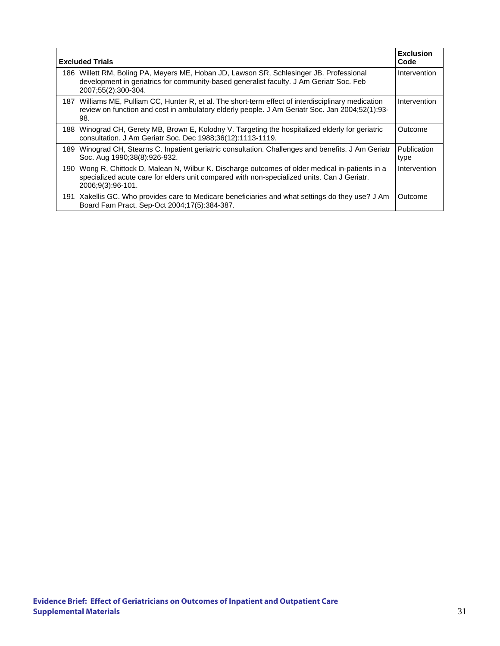| <b>Excluded Trials</b> |                                                                                                                                                                                                                 | <b>Exclusion</b><br>Code |
|------------------------|-----------------------------------------------------------------------------------------------------------------------------------------------------------------------------------------------------------------|--------------------------|
| 186.                   | Willett RM, Boling PA, Meyers ME, Hoban JD, Lawson SR, Schlesinger JB. Professional<br>development in geriatrics for community-based generalist faculty. J Am Geriatr Soc. Feb<br>2007;55(2):300-304.           | Intervention             |
| 187                    | Williams ME, Pulliam CC, Hunter R, et al. The short-term effect of interdisciplinary medication<br>review on function and cost in ambulatory elderly people. J Am Geriatr Soc. Jan 2004;52(1):93-<br>98.        | Intervention             |
| 188                    | Winograd CH, Gerety MB, Brown E, Kolodny V. Targeting the hospitalized elderly for geriatric<br>consultation. J Am Geriatr Soc. Dec 1988;36(12):1113-1119.                                                      | Outcome                  |
| 189                    | Winograd CH, Stearns C. Inpatient geriatric consultation. Challenges and benefits. J Am Geriatr<br>Soc. Aug 1990;38(8):926-932.                                                                                 | Publication<br>type      |
| 190                    | Wong R, Chittock D, Malean N, Wilbur K. Discharge outcomes of older medical in-patients in a<br>specialized acute care for elders unit compared with non-specialized units. Can J Geriatr.<br>2006:9(3):96-101. | Intervention             |
|                        | 191 Xakellis GC. Who provides care to Medicare beneficiaries and what settings do they use? J Am<br>Board Fam Pract. Sep-Oct 2004;17(5):384-387.                                                                | Outcome                  |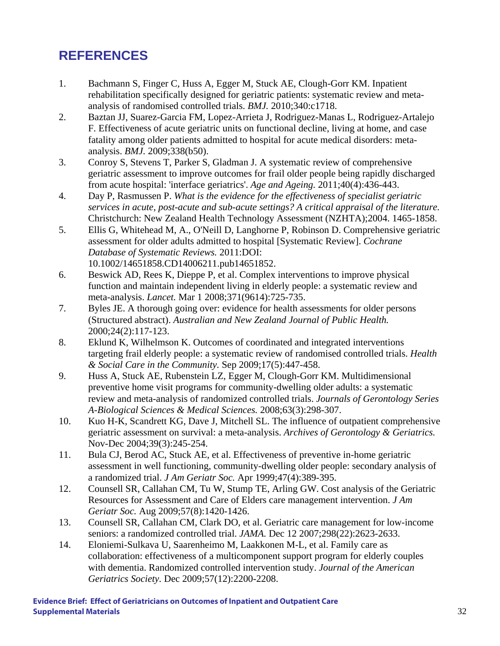#### **REFERENCES**

- 1. Bachmann S, Finger C, Huss A, Egger M, Stuck AE, Clough-Gorr KM. Inpatient rehabilitation specifically designed for geriatric patients: systematic review and metaanalysis of randomised controlled trials. *BMJ.* 2010;340:c1718.
- 2. Baztan JJ, Suarez-Garcia FM, Lopez-Arrieta J, Rodriguez-Manas L, Rodriguez-Artalejo F. Effectiveness of acute geriatric units on functional decline, living at home, and case fatality among older patients admitted to hospital for acute medical disorders: metaanalysis. *BMJ.* 2009;338(b50).
- 3. Conroy S, Stevens T, Parker S, Gladman J. A systematic review of comprehensive geriatric assessment to improve outcomes for frail older people being rapidly discharged from acute hospital: 'interface geriatrics'. *Age and Ageing.* 2011;40(4):436-443.
- 4. Day P, Rasmussen P. *What is the evidence for the effectiveness of specialist geriatric services in acute, post-acute and sub-acute settings? A critical appraisal of the literature.* Christchurch: New Zealand Health Technology Assessment (NZHTA);2004. 1465-1858.
- 5. Ellis G, Whitehead M, A., O'Neill D, Langhorne P, Robinson D. Comprehensive geriatric assessment for older adults admitted to hospital [Systematic Review]. *Cochrane Database of Systematic Reviews.* 2011:DOI: 10.1002/14651858.CD14006211.pub14651852.
- 6. Beswick AD, Rees K, Dieppe P, et al. Complex interventions to improve physical function and maintain independent living in elderly people: a systematic review and meta-analysis. *Lancet.* Mar 1 2008;371(9614):725-735.
- 7. Byles JE. A thorough going over: evidence for health assessments for older persons (Structured abstract). *Australian and New Zealand Journal of Public Health.*  2000;24(2):117-123.
- 8. Eklund K, Wilhelmson K. Outcomes of coordinated and integrated interventions targeting frail elderly people: a systematic review of randomised controlled trials. *Health & Social Care in the Community.* Sep 2009;17(5):447-458.
- 9. Huss A, Stuck AE, Rubenstein LZ, Egger M, Clough-Gorr KM. Multidimensional preventive home visit programs for community-dwelling older adults: a systematic review and meta-analysis of randomized controlled trials. *Journals of Gerontology Series A-Biological Sciences & Medical Sciences.* 2008;63(3):298-307.
- 10. Kuo H-K, Scandrett KG, Dave J, Mitchell SL. The influence of outpatient comprehensive geriatric assessment on survival: a meta-analysis. *Archives of Gerontology & Geriatrics.*  Nov-Dec 2004;39(3):245-254.
- 11. Bula CJ, Berod AC, Stuck AE, et al. Effectiveness of preventive in-home geriatric assessment in well functioning, community-dwelling older people: secondary analysis of a randomized trial. *J Am Geriatr Soc.* Apr 1999;47(4):389-395.
- 12. Counsell SR, Callahan CM, Tu W, Stump TE, Arling GW. Cost analysis of the Geriatric Resources for Assessment and Care of Elders care management intervention. *J Am Geriatr Soc.* Aug 2009;57(8):1420-1426.
- 13. Counsell SR, Callahan CM, Clark DO, et al. Geriatric care management for low-income seniors: a randomized controlled trial. *JAMA.* Dec 12 2007;298(22):2623-2633.
- 14. Eloniemi-Sulkava U, Saarenheimo M, Laakkonen M-L, et al. Family care as collaboration: effectiveness of a multicomponent support program for elderly couples with dementia. Randomized controlled intervention study. *Journal of the American Geriatrics Society.* Dec 2009;57(12):2200-2208.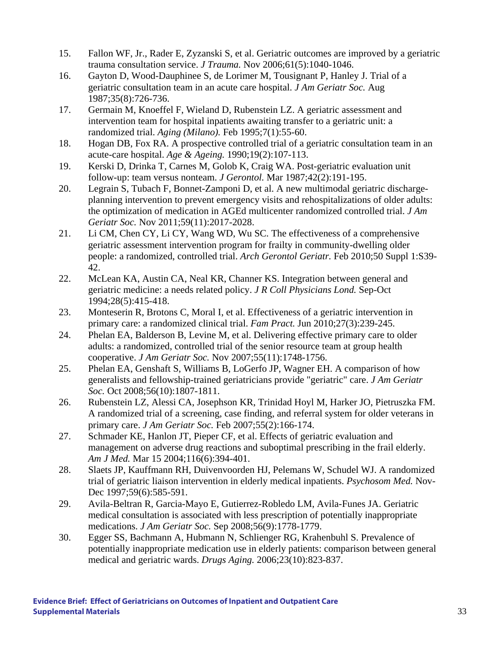- 15. Fallon WF, Jr., Rader E, Zyzanski S, et al. Geriatric outcomes are improved by a geriatric trauma consultation service. *J Trauma.* Nov 2006;61(5):1040-1046.
- 16. Gayton D, Wood-Dauphinee S, de Lorimer M, Tousignant P, Hanley J. Trial of a geriatric consultation team in an acute care hospital. *J Am Geriatr Soc.* Aug 1987;35(8):726-736.
- 17. Germain M, Knoeffel F, Wieland D, Rubenstein LZ. A geriatric assessment and intervention team for hospital inpatients awaiting transfer to a geriatric unit: a randomized trial. *Aging (Milano).* Feb 1995;7(1):55-60.
- 18. Hogan DB, Fox RA. A prospective controlled trial of a geriatric consultation team in an acute-care hospital. *Age & Ageing.* 1990;19(2):107-113.
- 19. Kerski D, Drinka T, Carnes M, Golob K, Craig WA. Post-geriatric evaluation unit follow-up: team versus nonteam. *J Gerontol.* Mar 1987;42(2):191-195.
- 20. Legrain S, Tubach F, Bonnet-Zamponi D, et al. A new multimodal geriatric dischargeplanning intervention to prevent emergency visits and rehospitalizations of older adults: the optimization of medication in AGEd multicenter randomized controlled trial. *J Am Geriatr Soc.* Nov 2011;59(11):2017-2028.
- 21. Li CM, Chen CY, Li CY, Wang WD, Wu SC. The effectiveness of a comprehensive geriatric assessment intervention program for frailty in community-dwelling older people: a randomized, controlled trial. *Arch Gerontol Geriatr.* Feb 2010;50 Suppl 1:S39- 42.
- 22. McLean KA, Austin CA, Neal KR, Channer KS. Integration between general and geriatric medicine: a needs related policy. *J R Coll Physicians Lond.* Sep-Oct 1994;28(5):415-418.
- 23. Monteserin R, Brotons C, Moral I, et al. Effectiveness of a geriatric intervention in primary care: a randomized clinical trial. *Fam Pract.* Jun 2010;27(3):239-245.
- 24. Phelan EA, Balderson B, Levine M, et al. Delivering effective primary care to older adults: a randomized, controlled trial of the senior resource team at group health cooperative. *J Am Geriatr Soc.* Nov 2007;55(11):1748-1756.
- 25. Phelan EA, Genshaft S, Williams B, LoGerfo JP, Wagner EH. A comparison of how generalists and fellowship-trained geriatricians provide "geriatric" care. *J Am Geriatr Soc.* Oct 2008;56(10):1807-1811.
- 26. Rubenstein LZ, Alessi CA, Josephson KR, Trinidad Hoyl M, Harker JO, Pietruszka FM. A randomized trial of a screening, case finding, and referral system for older veterans in primary care. *J Am Geriatr Soc.* Feb 2007;55(2):166-174.
- 27. Schmader KE, Hanlon JT, Pieper CF, et al. Effects of geriatric evaluation and management on adverse drug reactions and suboptimal prescribing in the frail elderly. *Am J Med.* Mar 15 2004;116(6):394-401.
- 28. Slaets JP, Kauffmann RH, Duivenvoorden HJ, Pelemans W, Schudel WJ. A randomized trial of geriatric liaison intervention in elderly medical inpatients. *Psychosom Med.* Nov-Dec 1997;59(6):585-591.
- 29. Avila-Beltran R, Garcia-Mayo E, Gutierrez-Robledo LM, Avila-Funes JA. Geriatric medical consultation is associated with less prescription of potentially inappropriate medications. *J Am Geriatr Soc.* Sep 2008;56(9):1778-1779.
- 30. Egger SS, Bachmann A, Hubmann N, Schlienger RG, Krahenbuhl S. Prevalence of potentially inappropriate medication use in elderly patients: comparison between general medical and geriatric wards. *Drugs Aging.* 2006;23(10):823-837.